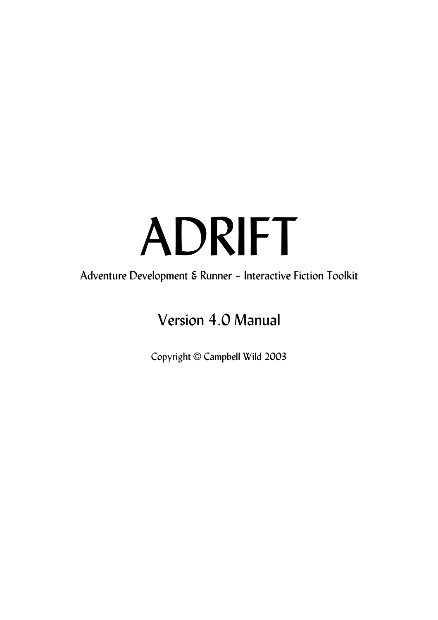# ADRIFT

# Adventure Development & Runner – Interactive Fiction Toolkit

# Version 4.0 Manual

Copyright © Campbell Wild 2003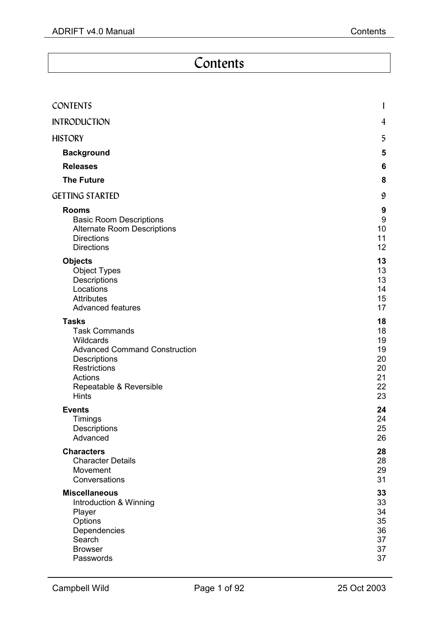# Contents

| <b>CONTENTS</b>                                                                                                                                                                               | I                                                  |
|-----------------------------------------------------------------------------------------------------------------------------------------------------------------------------------------------|----------------------------------------------------|
| <b>INTRODUCTION</b>                                                                                                                                                                           | $\overline{4}$                                     |
| <b>HISTORY</b>                                                                                                                                                                                | 5                                                  |
| <b>Background</b>                                                                                                                                                                             | 5                                                  |
| <b>Releases</b>                                                                                                                                                                               | 6                                                  |
| <b>The Future</b>                                                                                                                                                                             | 8                                                  |
| <b>GETTING STARTED</b>                                                                                                                                                                        | 9                                                  |
| <b>Rooms</b><br><b>Basic Room Descriptions</b><br><b>Alternate Room Descriptions</b><br><b>Directions</b><br><b>Directions</b>                                                                | 9<br>$\boldsymbol{9}$<br>10<br>11<br>12            |
| <b>Objects</b><br><b>Object Types</b><br>Descriptions<br>Locations<br><b>Attributes</b><br><b>Advanced features</b>                                                                           | 13<br>13<br>13<br>14<br>15<br>17                   |
| <b>Tasks</b><br><b>Task Commands</b><br>Wildcards<br><b>Advanced Command Construction</b><br>Descriptions<br><b>Restrictions</b><br><b>Actions</b><br>Repeatable & Reversible<br><b>Hints</b> | 18<br>18<br>19<br>19<br>20<br>20<br>21<br>22<br>23 |
| <b>Events</b><br>Timings<br>Descriptions<br>Advanced                                                                                                                                          | 24<br>24<br>25<br>26                               |
| <b>Characters</b><br><b>Character Details</b><br>Movement<br>Conversations                                                                                                                    | 28<br>28<br>29<br>31                               |
| <b>Miscellaneous</b><br>Introduction & Winning<br>Player<br>Options<br>Dependencies<br>Search<br><b>Browser</b><br>Passwords                                                                  | 33<br>33<br>34<br>35<br>36<br>37<br>37<br>37       |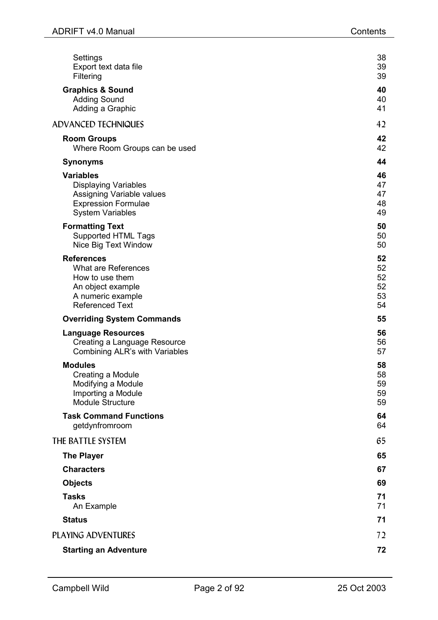| Settings                          | 38 |
|-----------------------------------|----|
| Export text data file             | 39 |
| Filtering                         | 39 |
| <b>Graphics &amp; Sound</b>       | 40 |
| <b>Adding Sound</b>               | 40 |
| Adding a Graphic                  | 41 |
| <b>ADVANCED TECHNIQUES</b>        | 42 |
| <b>Room Groups</b>                | 42 |
| Where Room Groups can be used     | 42 |
| <b>Synonyms</b>                   | 44 |
| <b>Variables</b>                  | 46 |
| <b>Displaying Variables</b>       | 47 |
| Assigning Variable values         | 47 |
| <b>Expression Formulae</b>        | 48 |
| <b>System Variables</b>           | 49 |
| <b>Formatting Text</b>            | 50 |
| Supported HTML Tags               | 50 |
| Nice Big Text Window              | 50 |
| <b>References</b>                 | 52 |
| <b>What are References</b>        | 52 |
| How to use them                   | 52 |
| An object example                 | 52 |
| A numeric example                 | 53 |
| <b>Referenced Text</b>            | 54 |
| <b>Overriding System Commands</b> | 55 |
| <b>Language Resources</b>         | 56 |
| Creating a Language Resource      | 56 |
| Combining ALR's with Variables    | 57 |
| <b>Modules</b>                    | 58 |
| Creating a Module                 | 58 |
| Modifying a Module                | 59 |
| Importing a Module                | 59 |
| <b>Module Structure</b>           | 59 |
| <b>Task Command Functions</b>     | 64 |
| getdynfromroom                    | 64 |
| THE BATTLE SYSTEM                 | 65 |
| <b>The Player</b>                 | 65 |
| <b>Characters</b>                 | 67 |
| <b>Objects</b>                    | 69 |
| <b>Tasks</b>                      | 71 |
| An Example                        | 71 |
| <b>Status</b>                     | 71 |
| PLAYING ADVENTURES                | 72 |
| <b>Starting an Adventure</b>      | 72 |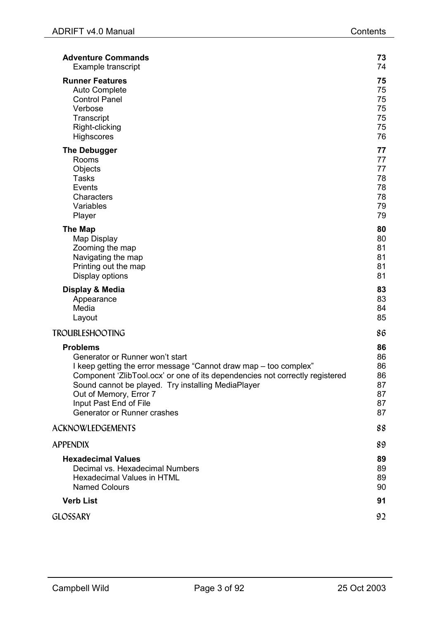| <b>Adventure Commands</b>                                                    | 73 |
|------------------------------------------------------------------------------|----|
| Example transcript                                                           | 74 |
| <b>Runner Features</b>                                                       | 75 |
| <b>Auto Complete</b>                                                         | 75 |
| <b>Control Panel</b>                                                         | 75 |
| Verbose                                                                      | 75 |
| Transcript                                                                   | 75 |
| Right-clicking                                                               | 75 |
| Highscores                                                                   | 76 |
| <b>The Debugger</b>                                                          | 77 |
| Rooms                                                                        | 77 |
| Objects                                                                      | 77 |
| <b>Tasks</b>                                                                 | 78 |
| Events                                                                       | 78 |
| Characters                                                                   | 78 |
| Variables                                                                    | 79 |
| Player                                                                       | 79 |
| <b>The Map</b>                                                               | 80 |
| Map Display                                                                  | 80 |
| Zooming the map                                                              | 81 |
| Navigating the map                                                           | 81 |
| Printing out the map                                                         | 81 |
| Display options                                                              | 81 |
| Display & Media                                                              | 83 |
| Appearance                                                                   | 83 |
| Media                                                                        | 84 |
| Layout                                                                       | 85 |
| <b>TROUBLESHOOTING</b>                                                       | 86 |
| <b>Problems</b>                                                              | 86 |
| Generator or Runner won't start                                              | 86 |
| I keep getting the error message "Cannot draw map - too complex"             | 86 |
| Component 'ZlibTool.ocx' or one of its dependencies not correctly registered | 86 |
| Sound cannot be played. Try installing MediaPlayer                           | 87 |
| Out of Memory, Error 7                                                       | 87 |
| Input Past End of File                                                       | 87 |
| <b>Generator or Runner crashes</b>                                           | 87 |
| ACKNOWLEDGEMENTS                                                             | 88 |
| <b>APPENDIX</b>                                                              | 89 |
| <b>Hexadecimal Values</b>                                                    | 89 |
| Decimal vs. Hexadecimal Numbers                                              | 89 |
| <b>Hexadecimal Values in HTML</b>                                            | 89 |
| <b>Named Colours</b>                                                         | 90 |
| <b>Verb List</b>                                                             | 91 |
| GLOSSARY                                                                     | 92 |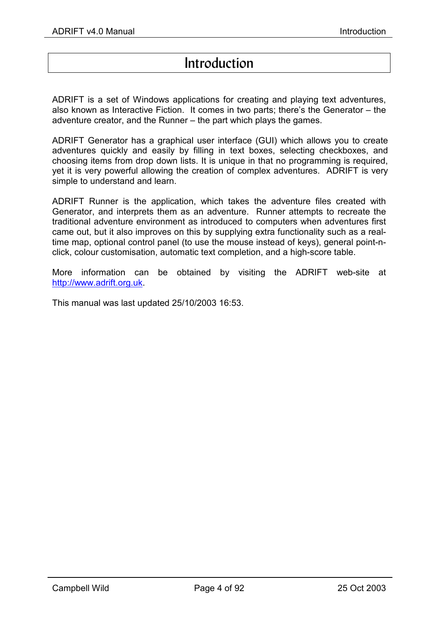# Introduction

<span id="page-4-0"></span>ADRIFT is a set of Windows applications for creating and playing text adventures, also known as Interactive Fiction. It comes in two parts; there's the Generator – the adventure creator, and the Runner – the part which plays the games.

ADRIFT Generator has a graphical user interface (GUI) which allows you to create adventures quickly and easily by filling in text boxes, selecting checkboxes, and choosing items from drop down lists. It is unique in that no programming is required, yet it is very powerful allowing the creation of complex adventures. ADRIFT is very simple to understand and learn.

ADRIFT Runner is the application, which takes the adventure files created with Generator, and interprets them as an adventure. Runner attempts to recreate the traditional adventure environment as introduced to computers when adventures first came out, but it also improves on this by supplying extra functionality such as a realtime map, optional control panel (to use the mouse instead of keys), general point-nclick, colour customisation, automatic text completion, and a high-score table.

More information can be obtained by visiting the ADRIFT web-site at [http://www.adrift.org.uk.](http://www.adrift.org.uk/)

This manual was last updated 25/10/2003 16:53.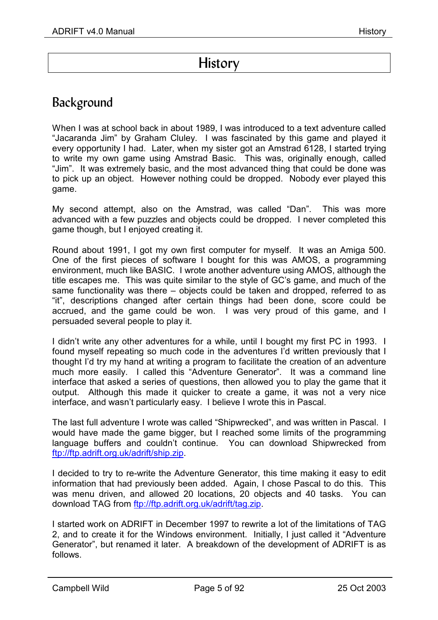# History

# <span id="page-5-0"></span>Background

When I was at school back in about 1989, I was introduced to a text adventure called "Jacaranda Jim" by Graham Cluley. I was fascinated by this game and played it every opportunity I had. Later, when my sister got an Amstrad 6128, I started trying to write my own game using Amstrad Basic. This was, originally enough, called "Jim". It was extremely basic, and the most advanced thing that could be done was to pick up an object. However nothing could be dropped. Nobody ever played this game.

My second attempt, also on the Amstrad, was called "Dan". This was more advanced with a few puzzles and objects could be dropped. I never completed this game though, but I enjoyed creating it.

Round about 1991, I got my own first computer for myself. It was an Amiga 500. One of the first pieces of software I bought for this was AMOS, a programming environment, much like BASIC. I wrote another adventure using AMOS, although the title escapes me. This was quite similar to the style of GC's game, and much of the same functionality was there – objects could be taken and dropped, referred to as "it", descriptions changed after certain things had been done, score could be accrued, and the game could be won. I was very proud of this game, and I persuaded several people to play it.

I didn't write any other adventures for a while, until I bought my first PC in 1993. I found myself repeating so much code in the adventures I'd written previously that I thought I'd try my hand at writing a program to facilitate the creation of an adventure much more easily. I called this "Adventure Generator". It was a command line interface that asked a series of questions, then allowed you to play the game that it output. Although this made it quicker to create a game, it was not a very nice interface, and wasn't particularly easy. I believe I wrote this in Pascal.

The last full adventure I wrote was called "Shipwrecked", and was written in Pascal. I would have made the game bigger, but I reached some limits of the programming language buffers and couldn't continue. You can download Shipwrecked from [ftp://ftp.adrift.org.uk/adrift/ship.zip.](ftp://ftp.adrift.org.uk/adrift/ship.zip)

I decided to try to re-write the Adventure Generator, this time making it easy to edit information that had previously been added. Again, I chose Pascal to do this. This was menu driven, and allowed 20 locations, 20 objects and 40 tasks. You can download TAG from<ftp://ftp.adrift.org.uk/adrift/tag.zip>.

I started work on ADRIFT in December 1997 to rewrite a lot of the limitations of TAG 2, and to create it for the Windows environment. Initially, I just called it "Adventure Generator", but renamed it later. A breakdown of the development of ADRIFT is as follows.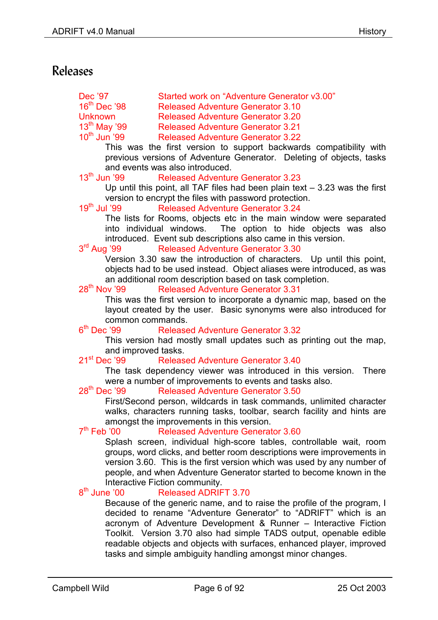# <span id="page-6-0"></span>Releases

| Dec '97                  | Started work on "Adventure Generator v3.00"                                                                                                                                                               |
|--------------------------|-----------------------------------------------------------------------------------------------------------------------------------------------------------------------------------------------------------|
| $16th$ Dec '98           | <b>Released Adventure Generator 3.10</b>                                                                                                                                                                  |
| <b>Unknown</b>           | <b>Released Adventure Generator 3.20</b>                                                                                                                                                                  |
| $13th$ May '99           | <b>Released Adventure Generator 3.21</b>                                                                                                                                                                  |
| $10^{\text{th}}$ Jun '99 | <b>Released Adventure Generator 3.22</b>                                                                                                                                                                  |
|                          | This was the first version to support backwards compatibility with                                                                                                                                        |
|                          | previous versions of Adventure Generator. Deleting of objects, tasks                                                                                                                                      |
|                          | and events was also introduced.                                                                                                                                                                           |
| $13^{\text{th}}$ Jun '99 | <b>Released Adventure Generator 3.23</b>                                                                                                                                                                  |
|                          | Up until this point, all TAF files had been plain text $-3.23$ was the first                                                                                                                              |
|                          | version to encrypt the files with password protection.                                                                                                                                                    |
| 19 <sup>th</sup> Jul '99 | <b>Released Adventure Generator 3.24</b>                                                                                                                                                                  |
|                          | The lists for Rooms, objects etc in the main window were separated                                                                                                                                        |
|                          | into individual windows. The option to hide objects was also                                                                                                                                              |
|                          | introduced. Event sub descriptions also came in this version.                                                                                                                                             |
| $3rd$ Aug '99            | <b>Released Adventure Generator 3.30</b>                                                                                                                                                                  |
|                          | Version 3.30 saw the introduction of characters. Up until this point,                                                                                                                                     |
|                          | objects had to be used instead. Object aliases were introduced, as was                                                                                                                                    |
|                          | an additional room description based on task completion.                                                                                                                                                  |
| $28th$ Nov '99           | <b>Released Adventure Generator 3.31</b>                                                                                                                                                                  |
|                          | This was the first version to incorporate a dynamic map, based on the                                                                                                                                     |
|                          | layout created by the user. Basic synonyms were also introduced for                                                                                                                                       |
| common commands.         |                                                                                                                                                                                                           |
|                          | 6 <sup>th</sup> Dec '99 Released Adventure Generator 3.32                                                                                                                                                 |
|                          | This version had mostly small updates such as printing out the map,                                                                                                                                       |
| and improved tasks.      |                                                                                                                                                                                                           |
| $21st$ Dec '99           | <b>Released Adventure Generator 3.40</b>                                                                                                                                                                  |
|                          | The task dependency viewer was introduced in this version. There                                                                                                                                          |
|                          | were a number of improvements to events and tasks also.                                                                                                                                                   |
| $28th$ Dec '99           | <b>Released Adventure Generator 3.50</b>                                                                                                                                                                  |
|                          | First/Second person, wildcards in task commands, unlimited character                                                                                                                                      |
|                          | walks, characters running tasks, toolbar, search facility and hints are                                                                                                                                   |
|                          | amongst the improvements in this version.                                                                                                                                                                 |
| 7 <sup>th</sup> Feb '00  | <b>Released Adventure Generator 3.60</b>                                                                                                                                                                  |
|                          | Splash screen, individual high-score tables, controllable wait, room                                                                                                                                      |
|                          | groups, word clicks, and better room descriptions were improvements in                                                                                                                                    |
|                          | version 3.60. This is the first version which was used by any number of                                                                                                                                   |
|                          | people, and when Adventure Generator started to become known in the                                                                                                                                       |
| $8th$ June '00           | Interactive Fiction community.<br><b>Released ADRIFT 3.70</b>                                                                                                                                             |
|                          | Because of the generic name, and to raise the profile of the program, I                                                                                                                                   |
|                          | decided to rename "Adventure Generator" to "ADRIFT" which is an                                                                                                                                           |
|                          | acronym of Adventure Development & Runner – Interactive Fiction                                                                                                                                           |
|                          |                                                                                                                                                                                                           |
|                          |                                                                                                                                                                                                           |
|                          |                                                                                                                                                                                                           |
|                          | Toolkit. Version 3.70 also had simple TADS output, openable edible<br>readable objects and objects with surfaces, enhanced player, improved<br>tasks and simple ambiguity handling amongst minor changes. |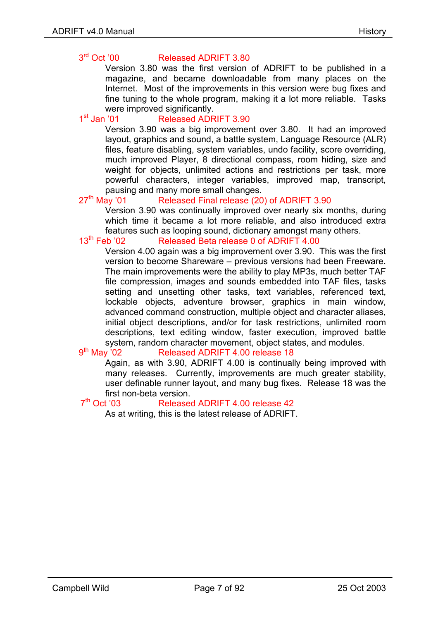## 3<sup>rd</sup> Oct '00 Released ADRIFT 3.80

Version 3.80 was the first version of ADRIFT to be published in a magazine, and became downloadable from many places on the Internet. Most of the improvements in this version were bug fixes and fine tuning to the whole program, making it a lot more reliable. Tasks

#### were improved significantly.<br>1<sup>st</sup> Jan '01 Released ADR Released ADRIFT 3.90

Version 3.90 was a big improvement over 3.80. It had an improved layout, graphics and sound, a battle system, Language Resource (ALR) files, feature disabling, system variables, undo facility, score overriding, much improved Player, 8 directional compass, room hiding, size and weight for objects, unlimited actions and restrictions per task, more powerful characters, integer variables, improved map, transcript,

#### pausing and many more small changes.<br>20 Released Final release (20 Released Final release (20) of ADRIFT 3.90

Version 3.90 was continually improved over nearly six months, during which time it became a lot more reliable, and also introduced extra features such as looping sound, dictionary amongst many others.<br>13<sup>th</sup> Feb<sup>2</sup>02 Released Beta release 0 of ADRIFT 4.00

#### Released Beta release 0 of ADRIFT 4.00

Version 4.00 again was a big improvement over 3.90. This was the first version to become Shareware – previous versions had been Freeware. The main improvements were the ability to play MP3s, much better TAF file compression, images and sounds embedded into TAF files, tasks setting and unsetting other tasks, text variables, referenced text, lockable objects, adventure browser, graphics in main window, advanced command construction, multiple object and character aliases, initial object descriptions, and/or for task restrictions, unlimited room descriptions, text editing window, faster execution, improved battle system, random character movement, object states, and modules.<br>9<sup>th</sup> Mav '02 Released ADRIFT 4.00 release 18

## Released ADRIFT 4.00 release 18

Again, as with 3.90, ADRIFT 4.00 is continually being improved with many releases. Currently, improvements are much greater stability, user definable runner layout, and many bug fixes. Release 18 was the

first non-beta version.<br> $7<sup>th</sup>$  Oct '03 Release Released ADRIFT 4.00 release 42

As at writing, this is the latest release of ADRIFT.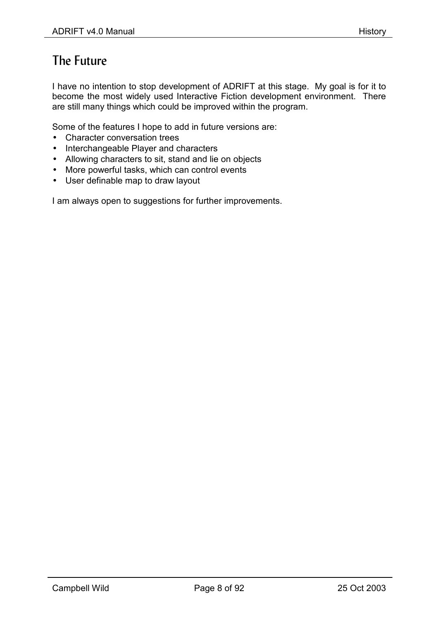# <span id="page-8-0"></span>The Future

I have no intention to stop development of ADRIFT at this stage. My goal is for it to become the most widely used Interactive Fiction development environment. There are still many things which could be improved within the program.

Some of the features I hope to add in future versions are:

- Character conversation trees
- Interchangeable Player and characters
- Allowing characters to sit, stand and lie on objects
- More powerful tasks, which can control events
- User definable map to draw layout

I am always open to suggestions for further improvements.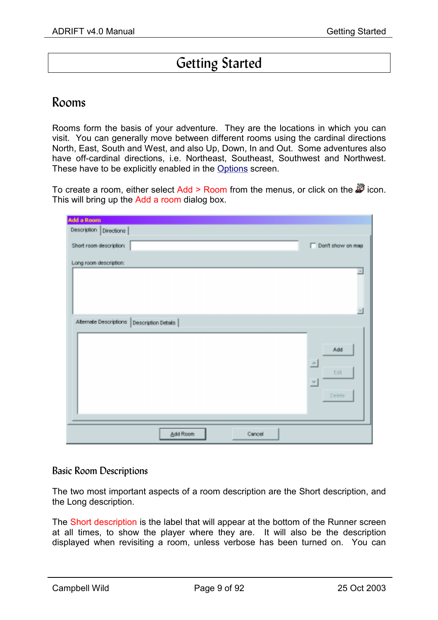# Getting Started

# <span id="page-9-0"></span>Rooms

Rooms form the basis of your adventure. They are the locations in which you can visit. You can generally move between different rooms using the cardinal directions North, East, South and West, and also Up, Down, In and Out. Some adventures also have off-cardinal directions, i.e. Northeast, Southeast, Southwest and Northwest. These have to be explicitly enabled in the [Options](#page-35-0) screen.

To create a room, either select  $Add > Room$  from the menus, or click on the  $\Box$  icon. This will bring up the Add a room dialog box.

| Add a Room                                 |                   |
|--------------------------------------------|-------------------|
| Description Directions                     |                   |
| Short room description:                    | Don't show on map |
| Long room description:                     |                   |
|                                            |                   |
| Atemate Descriptions   Description Details |                   |
|                                            | Add               |
|                                            | Edit              |
|                                            | ÷<br>Delete       |
|                                            |                   |
| Add Room<br>Cancel                         |                   |

## Basic Room Descriptions

The two most important aspects of a room description are the Short description, and the Long description.

The Short description is the label that will appear at the bottom of the Runner screen at all times, to show the player where they are. It will also be the description displayed when revisiting a room, unless verbose has been turned on. You can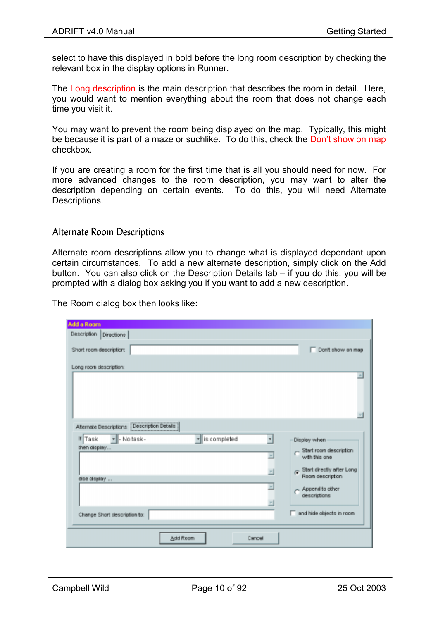<span id="page-10-0"></span>select to have this displayed in bold before the long room description by checking the relevant box in the display options in Runner.

The Long description is the main description that describes the room in detail. Here, you would want to mention everything about the room that does not change each time you visit it.

You may want to prevent the room being displayed on the map. Typically, this might be because it is part of a maze or suchlike. To do this, check the Don't show on map checkbox.

If you are creating a room for the first time that is all you should need for now. For more advanced changes to the room description, you may want to alter the description depending on certain events. To do this, you will need Alternate Descriptions.

## Alternate Room Descriptions

Alternate room descriptions allow you to change what is displayed dependant upon certain circumstances. To add a new alternate description, simply click on the Add button. You can also click on the Description Details tab – if you do this, you will be prompted with a dialog box asking you if you want to add a new description.

| <b>Add a Room</b>                                       |                                         |
|---------------------------------------------------------|-----------------------------------------|
| Description   Directions                                |                                         |
| Short room description:                                 | Don't show on map                       |
| Long room description:                                  |                                         |
|                                                         |                                         |
|                                                         |                                         |
|                                                         |                                         |
| Alternate Descriptions   Description Details            |                                         |
| If Task<br>$\bullet$ - No task -<br>• is completed<br>⊣ | Display when                            |
| then display<br>$\frac{1}{2}$                           | Start room description<br>with this one |
| $\mathbb{R}$                                            | Start directly after Long<br>G.         |
| else display                                            | Room description                        |
| ×                                                       | Append to other<br>descriptions         |
|                                                         |                                         |
| Change Short description to:                            | and hide objects in room<br>n           |
|                                                         |                                         |
| Add Room<br>Cancel                                      |                                         |

The Room dialog box then looks like: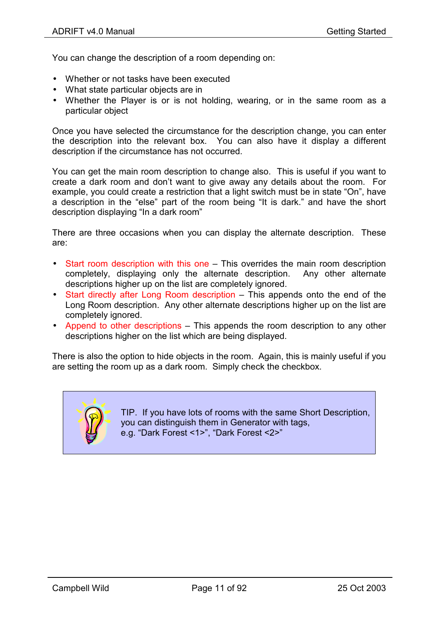You can change the description of a room depending on:

- Whether or not tasks have been executed
- What state particular objects are in
- Whether the Player is or is not holding, wearing, or in the same room as a particular object

Once you have selected the circumstance for the description change, you can enter the description into the relevant box. You can also have it display a different description if the circumstance has not occurred.

You can get the main room description to change also. This is useful if you want to create a dark room and don't want to give away any details about the room. For example, you could create a restriction that a light switch must be in state "On", have a description in the "else" part of the room being "It is dark." and have the short description displaying "In a dark room"

There are three occasions when you can display the alternate description. These are:

- Start room description with this one This overrides the main room description completely, displaying only the alternate description. Any other alternate descriptions higher up on the list are completely ignored.
- Start directly after Long Room description This appends onto the end of the Long Room description. Any other alternate descriptions higher up on the list are completely ignored.
- Append to other descriptions This appends the room description to any other descriptions higher on the list which are being displayed.

There is also the option to hide objects in the room. Again, this is mainly useful if you are setting the room up as a dark room. Simply check the checkbox.



TIP. If you have lots of rooms with the same Short Description, you can distinguish them in Generator with tags, e.g. "Dark Forest <1>", "Dark Forest <2>"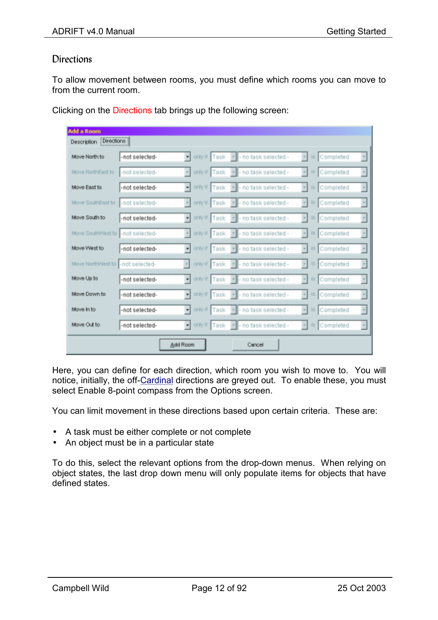# <span id="page-12-0"></span>**Directions**

To allow movement between rooms, you must define which rooms you can move to from the current room.

| <b>Add a Room</b>                   |                                                                                                                          |                          |
|-------------------------------------|--------------------------------------------------------------------------------------------------------------------------|--------------------------|
| Description Directions              |                                                                                                                          |                          |
| Move North to                       | ۰I<br>only if<br>Task<br>- In task selected-<br>Completed<br>-not selected-<br>$\mathbf{w}$<br>15                        | ×                        |
| Move NorthEast to                   | - In task selected-<br>Completed<br>-not selected-<br>only if<br>Task<br>15<br>$\pi$                                     | w.                       |
| Move East to                        | ᆌ<br>only if<br>-not selected-<br>- I - no task selected -<br>Completed<br>Task<br>$\scriptstyle\rm{m}$<br>is.           | $\overline{\phantom{a}}$ |
| Move SouthEast to                   | - I - no task selected -<br>-not selected-<br>only if<br>Task<br>Completed<br>18<br>٠                                    |                          |
| Move South to                       | ۰I<br>only if<br>-not selected-<br>- I - no task selected -<br>Completed<br>Task<br>图<br>×                               | ×                        |
| Move SouthWest to I -not selected-  | - In task selected-<br>only if<br>Task<br>Completed<br>$\mathbf{r}$<br>$\pi$<br>15                                       | ×                        |
| Move West to                        | $\mathbf{r}$<br>only if<br>-not selected-<br>- I - no task selected -<br>Task<br>Completed<br>$\scriptstyle\rm{w}$<br>18 | ÷                        |
| Move NorthWest to   - not selected- | - I - no task selected -<br>only if<br>Task<br>Completed<br>$+1$<br>18<br>٠                                              |                          |
| Move Up to                          | ۰I<br>only if<br>-not selected-<br>- I - no task selected -<br>Completed<br>×<br>15<br>Task                              |                          |
| Move Down to                        | $\mathbf{r}$<br>only if<br>-not selected-<br>Task<br>- In task selected-<br>Completed<br>$\pi$<br>15                     | ×                        |
| Move in to                          | $\bullet$ only if<br>-not selected-<br>- In task selected-<br>Completed<br>Task<br>$\pm$<br>18                           | $\overline{\phantom{a}}$ |
| Move Out to                         | $-$ only if<br>- I - no task selected -<br>-not selected-<br>Task<br>is.<br>Completed<br>$\omega$                        |                          |
|                                     | Add Room<br>Cancel                                                                                                       |                          |

Clicking on the Directions tab brings up the following screen:

Here, you can define for each direction, which room you wish to move to. You will notice, initially, the off[-Cardinal](#page-92-0) directions are greyed out. To enable these, you must select Enable 8-point compass from the Options screen.

You can limit movement in these directions based upon certain criteria. These are:

- A task must be either complete or not complete
- An object must be in a particular state

To do this, select the relevant options from the drop-down menus. When relying on object states, the last drop down menu will only populate items for objects that have defined states.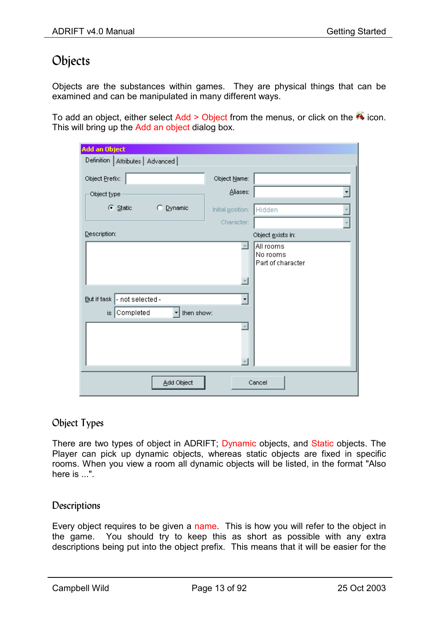# <span id="page-13-0"></span>Objects

Objects are the substances within games. They are physical things that can be examined and can be manipulated in many different ways.

To add an object, either select  $Add > Object$  from the menus, or click on the  $\triangle$  icon. This will bring up the Add an object dialog box.

| <b>Add an Object</b>               |                   |                                            |
|------------------------------------|-------------------|--------------------------------------------|
| Definition   Attributes   Advanced |                   |                                            |
| Object Prefix:                     | Object Name:      |                                            |
| Object type                        | Aliases:          |                                            |
| C Static<br>C Dynamic              | Initial position: | Hidden                                     |
|                                    | Character:        |                                            |
| Description:                       |                   | Object exists in:                          |
|                                    | $\Delta$          | All rooms<br>No rooms<br>Part of character |
| But if task  - not selected -      | ᅱ                 |                                            |
| is Completed<br>then show:<br>▾╽   |                   |                                            |
|                                    |                   |                                            |
| Add Object<br>Cancel               |                   |                                            |

# Object Types

There are two types of object in ADRIFT; Dynamic objects, and Static objects. The Player can pick up dynamic objects, whereas static objects are fixed in specific rooms. When you view a room all dynamic objects will be listed, in the format "Also here is  $"$ 

# **Descriptions**

Every object requires to be given a name. This is how you will refer to the object in the game. You should try to keep this as short as possible with any extra descriptions being put into the object prefix. This means that it will be easier for the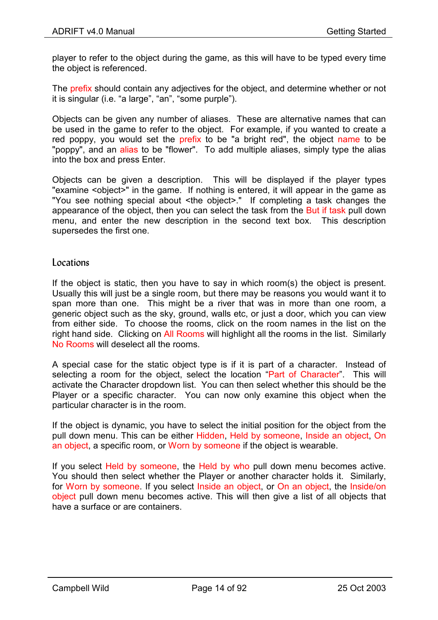<span id="page-14-0"></span>player to refer to the object during the game, as this will have to be typed every time the object is referenced.

The prefix should contain any adjectives for the object, and determine whether or not it is singular (i.e. "a large", "an", "some purple").

Objects can be given any number of aliases. These are alternative names that can be used in the game to refer to the object. For example, if you wanted to create a red poppy, you would set the prefix to be "a bright red", the object name to be "poppy", and an alias to be "flower". To add multiple aliases, simply type the alias into the box and press Enter.

Objects can be given a description. This will be displayed if the player types "examine <object>" in the game. If nothing is entered, it will appear in the game as "You see nothing special about <the object>." If completing a task changes the appearance of the object, then you can select the task from the But if task pull down menu, and enter the new description in the second text box. This description supersedes the first one.

## Locations

If the object is static, then you have to say in which room(s) the object is present. Usually this will just be a single room, but there may be reasons you would want it to span more than one. This might be a river that was in more than one room, a generic object such as the sky, ground, walls etc, or just a door, which you can view from either side. To choose the rooms, click on the room names in the list on the right hand side. Clicking on All Rooms will highlight all the rooms in the list. Similarly No Rooms will deselect all the rooms.

A special case for the static object type is if it is part of a character. Instead of selecting a room for the object, select the location "Part of Character". This will activate the Character dropdown list. You can then select whether this should be the Player or a specific character. You can now only examine this object when the particular character is in the room.

If the object is dynamic, you have to select the initial position for the object from the pull down menu. This can be either Hidden, Held by someone, Inside an object, On an object, a specific room, or Worn by someone if the object is wearable.

If you select Held by someone, the Held by who pull down menu becomes active. You should then select whether the Player or another character holds it. Similarly, for Worn by someone. If you select Inside an object, or On an object, the Inside/on object pull down menu becomes active. This will then give a list of all objects that have a surface or are containers.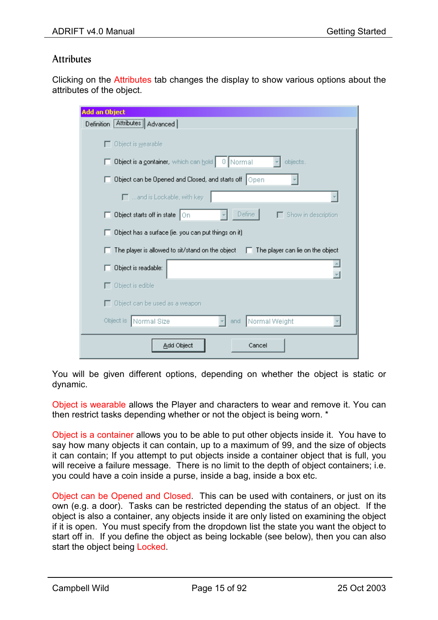# <span id="page-15-0"></span>**Attributes**

Clicking on the Attributes tab changes the display to show various options about the attributes of the object.

| <b>Add an Object</b>                                                                 |  |  |
|--------------------------------------------------------------------------------------|--|--|
| Definition Attributes Advanced                                                       |  |  |
| $\Box$ Object is wearable                                                            |  |  |
| Object is a container, which can hold   0   Normal<br>objects.                       |  |  |
| Object can be Opened and Closed, and starts off   Open                               |  |  |
| [  and is Lockable, with key                                                         |  |  |
| Define  <br>Object starts off in state On<br>Show in description                     |  |  |
| Object has a surface (ie, you can put things on it)                                  |  |  |
| The player is allowed to sit/stand on the object<br>The player can lie on the object |  |  |
| Object is readable:                                                                  |  |  |
| $\Box$ Object is edible                                                              |  |  |
| $\Box$ Object can be used as a weapon                                                |  |  |
| Normal Weight<br>Object is Normal Size<br>and                                        |  |  |
| Add Object<br>Cancel                                                                 |  |  |

You will be given different options, depending on whether the object is static or dynamic.

Object is wearable allows the Player and characters to wear and remove it. You can then restrict tasks depending whether or not the object is being worn. \*

Object is a container allows you to be able to put other objects inside it. You have to say how many objects it can contain, up to a maximum of 99, and the size of objects it can contain; If you attempt to put objects inside a container object that is full, you will receive a failure message. There is no limit to the depth of object containers; i.e. you could have a coin inside a purse, inside a bag, inside a box etc.

Object can be Opened and Closed. This can be used with containers, or just on its own (e.g. a door). Tasks can be restricted depending the status of an object. If the object is also a container, any objects inside it are only listed on examining the object if it is open. You must specify from the dropdown list the state you want the object to start off in. If you define the object as being lockable (see below), then you can also start the object being Locked.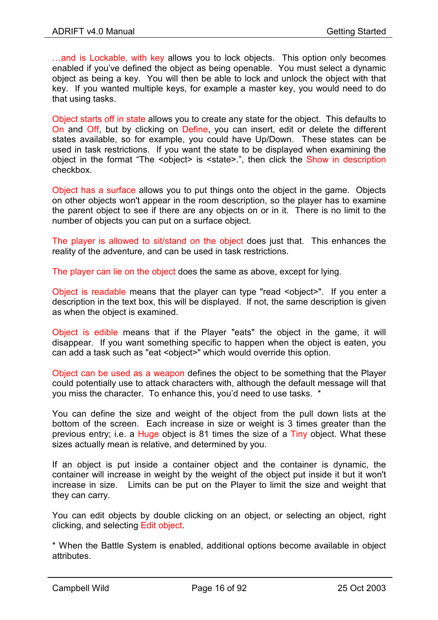…and is Lockable, with key allows you to lock objects. This option only becomes enabled if you've defined the object as being openable. You must select a dynamic object as being a key. You will then be able to lock and unlock the object with that key. If you wanted multiple keys, for example a master key, you would need to do that using tasks.

Object starts off in state allows you to create any state for the object. This defaults to On and Off, but by clicking on Define, you can insert, edit or delete the different states available, so for example, you could have Up/Down. These states can be used in task restrictions. If you want the state to be displayed when examining the object in the format "The <object> is <state>.", then click the Show in description checkbox.

Object has a surface allows you to put things onto the object in the game. Objects on other objects won't appear in the room description, so the player has to examine the parent object to see if there are any objects on or in it. There is no limit to the number of objects you can put on a surface object.

The player is allowed to sit/stand on the object does just that. This enhances the reality of the adventure, and can be used in task restrictions.

The player can lie on the object does the same as above, except for lying.

Object is readable means that the player can type "read <object>". If you enter a description in the text box, this will be displayed. If not, the same description is given as when the object is examined.

Object is edible means that if the Player "eats" the object in the game, it will disappear. If you want something specific to happen when the object is eaten, you can add a task such as "eat <object>" which would override this option.

Object can be used as a weapon defines the object to be something that the Player could potentially use to attack characters with, although the default message will that you miss the character. To enhance this, you'd need to use tasks. \*

You can define the size and weight of the object from the pull down lists at the bottom of the screen. Each increase in size or weight is 3 times greater than the previous entry; i.e. a Huge object is 81 times the size of a Tiny object. What these sizes actually mean is relative, and determined by you.

If an object is put inside a container object and the container is dynamic, the container will increase in weight by the weight of the object put inside it but it won't increase in size. Limits can be put on the Player to limit the size and weight that they can carry.

You can edit objects by double clicking on an object, or selecting an object, right clicking, and selecting Edit object.

\* When the Battle System is enabled, additional options become available in object attributes.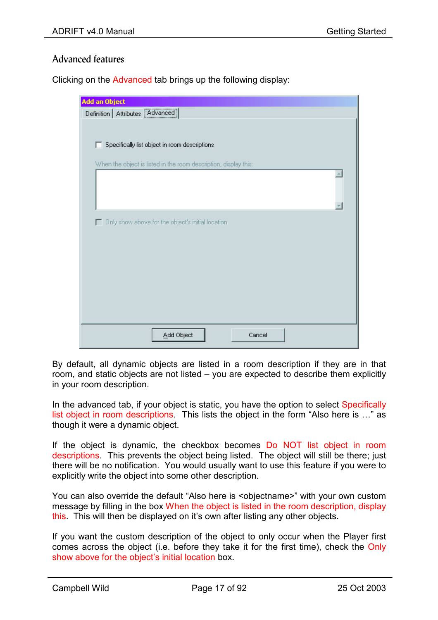# <span id="page-17-0"></span>Advanced features

Clicking on the Advanced tab brings up the following display:

| <b>Add an Object</b>                                             |
|------------------------------------------------------------------|
| Definition   Attributes [Advanced]                               |
|                                                                  |
|                                                                  |
| Specifically list object in room descriptions<br>п               |
|                                                                  |
| When the object is listed in the room description, display this: |
|                                                                  |
|                                                                  |
|                                                                  |
|                                                                  |
| □ Only show above for the object's initial location              |
|                                                                  |
|                                                                  |
|                                                                  |
|                                                                  |
|                                                                  |
|                                                                  |
|                                                                  |
|                                                                  |
|                                                                  |
| Add Object<br>Cancel                                             |

By default, all dynamic objects are listed in a room description if they are in that room, and static objects are not listed – you are expected to describe them explicitly in your room description.

In the advanced tab, if your object is static, you have the option to select Specifically list object in room descriptions. This lists the object in the form "Also here is …" as though it were a dynamic object.

If the object is dynamic, the checkbox becomes Do NOT list object in room descriptions. This prevents the object being listed. The object will still be there; just there will be no notification. You would usually want to use this feature if you were to explicitly write the object into some other description.

You can also override the default "Also here is <objectname>" with your own custom message by filling in the box When the object is listed in the room description, display this. This will then be displayed on it's own after listing any other objects.

If you want the custom description of the object to only occur when the Player first comes across the object (i.e. before they take it for the first time), check the Only show above for the object's initial location box.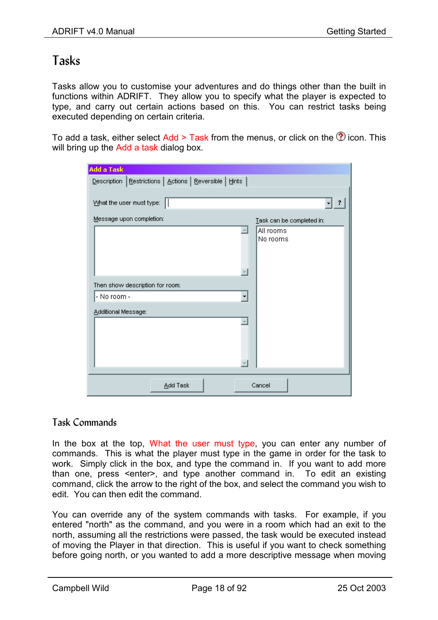# <span id="page-18-0"></span>Tasks

Tasks allow you to customise your adventures and do things other than the built in functions within ADRIFT. They allow you to specify what the player is expected to type, and carry out certain actions based on this. You can restrict tasks being executed depending on certain criteria.

To add a task, either select  $\frac{\text{Add}}{\text{Total}}$  Task from the menus, or click on the  $\Omega$  icon. This will bring up the Add a task dialog box.

| <b>Add a Task</b>                                                   |                           |
|---------------------------------------------------------------------|---------------------------|
| Restrictions   Actions   Reversible   Hints  <br><b>Description</b> |                           |
|                                                                     |                           |
| What the user must type:                                            |                           |
| Message upon completion:                                            | Task can be completed in: |
|                                                                     | All rooms                 |
|                                                                     | No rooms                  |
|                                                                     |                           |
|                                                                     |                           |
| Then show description for room:                                     |                           |
| - No room -                                                         |                           |
| Additional Message:                                                 |                           |
|                                                                     |                           |
|                                                                     |                           |
|                                                                     |                           |
|                                                                     |                           |
|                                                                     |                           |
| Add Task                                                            | Cancel                    |

## Task Commands

In the box at the top, What the user must type, you can enter any number of commands. This is what the player must type in the game in order for the task to work. Simply click in the box, and type the command in. If you want to add more than one, press <enter>, and type another command in. To edit an existing command, click the arrow to the right of the box, and select the command you wish to edit. You can then edit the command.

You can override any of the system commands with tasks. For example, if you entered "north" as the command, and you were in a room which had an exit to the north, assuming all the restrictions were passed, the task would be executed instead of moving the Player in that direction. This is useful if you want to check something before going north, or you wanted to add a more descriptive message when moving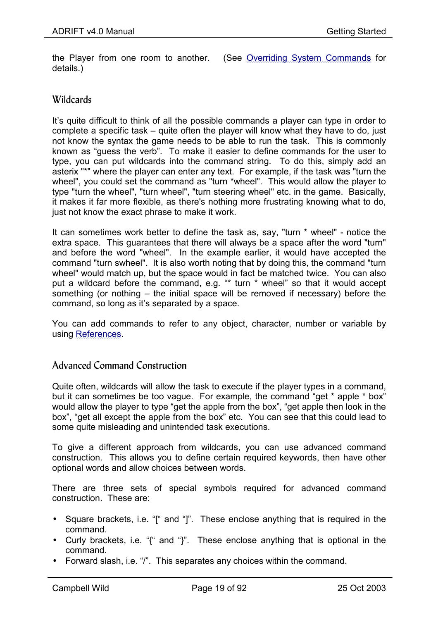<span id="page-19-0"></span>the Player from one room to another. (See [Overriding System Commands](#page-55-0) for details.)

## Wildcards

It's quite difficult to think of all the possible commands a player can type in order to complete a specific task – quite often the player will know what they have to do, just not know the syntax the game needs to be able to run the task. This is commonly known as "guess the verb". To make it easier to define commands for the user to type, you can put wildcards into the command string. To do this, simply add an asterix "\*" where the player can enter any text. For example, if the task was "turn the wheel", you could set the command as "turn \*wheel". This would allow the player to type "turn the wheel", "turn wheel", "turn steering wheel" etc. in the game. Basically, it makes it far more flexible, as there's nothing more frustrating knowing what to do, just not know the exact phrase to make it work.

It can sometimes work better to define the task as, say, "turn \* wheel" - notice the extra space. This guarantees that there will always be a space after the word "turn" and before the word "wheel". In the example earlier, it would have accepted the command "turn swheel". It is also worth noting that by doing this, the command "turn wheel" would match up, but the space would in fact be matched twice. You can also put a wildcard before the command, e.g. "\* turn \* wheel" so that it would accept something (or nothing – the initial space will be removed if necessary) before the command, so long as it's separated by a space.

You can add commands to refer to any object, character, number or variable by using [References.](#page-52-0)

# Advanced Command Construction

Quite often, wildcards will allow the task to execute if the player types in a command, but it can sometimes be too vague. For example, the command "get \* apple \* box" would allow the player to type "get the apple from the box", "get apple then look in the box", "get all except the apple from the box" etc. You can see that this could lead to some quite misleading and unintended task executions.

To give a different approach from wildcards, you can use advanced command construction. This allows you to define certain required keywords, then have other optional words and allow choices between words.

There are three sets of special symbols required for advanced command construction. These are:

- Square brackets, i.e. "[" and "]". These enclose anything that is required in the command.
- Curly brackets, i.e. "{" and "}". These enclose anything that is optional in the command.
- Forward slash, i.e. "/". This separates any choices within the command.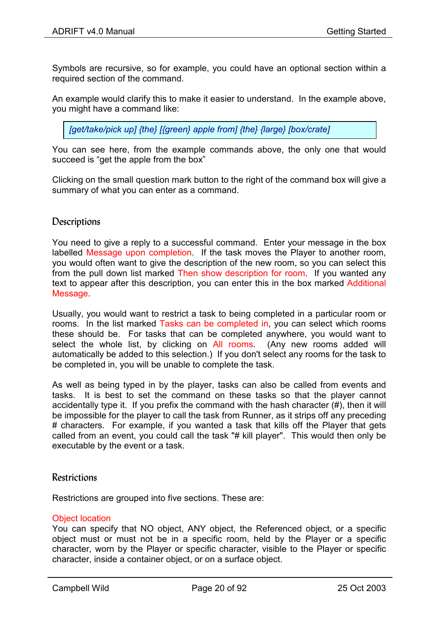<span id="page-20-0"></span>Symbols are recursive, so for example, you could have an optional section within a required section of the command.

An example would clarify this to make it easier to understand. In the example above, you might have a command like:

[get/take/pick up] {the} [{green} apple from] {the} {large} [box/crate]

You can see here, from the example commands above, the only one that would succeed is "get the apple from the box"

Clicking on the small question mark button to the right of the command box will give a summary of what you can enter as a command.

## **Descriptions**

You need to give a reply to a successful command. Enter your message in the box labelled Message upon completion. If the task moves the Player to another room, you would often want to give the description of the new room, so you can select this from the pull down list marked Then show description for room. If you wanted any text to appear after this description, you can enter this in the box marked Additional Message.

Usually, you would want to restrict a task to being completed in a particular room or rooms. In the list marked Tasks can be completed in, you can select which rooms these should be. For tasks that can be completed anywhere, you would want to select the whole list, by clicking on All rooms. (Any new rooms added will automatically be added to this selection.) If you don't select any rooms for the task to be completed in, you will be unable to complete the task.

As well as being typed in by the player, tasks can also be called from events and tasks. It is best to set the command on these tasks so that the player cannot accidentally type it. If you prefix the command with the hash character (#), then it will be impossible for the player to call the task from Runner, as it strips off any preceding # characters. For example, if you wanted a task that kills off the Player that gets called from an event, you could call the task "# kill player". This would then only be executable by the event or a task.

## **Restrictions**

Restrictions are grouped into five sections. These are:

#### Object location

You can specify that NO object, ANY object, the Referenced object, or a specific object must or must not be in a specific room, held by the Player or a specific character, worn by the Player or specific character, visible to the Player or specific character, inside a container object, or on a surface object.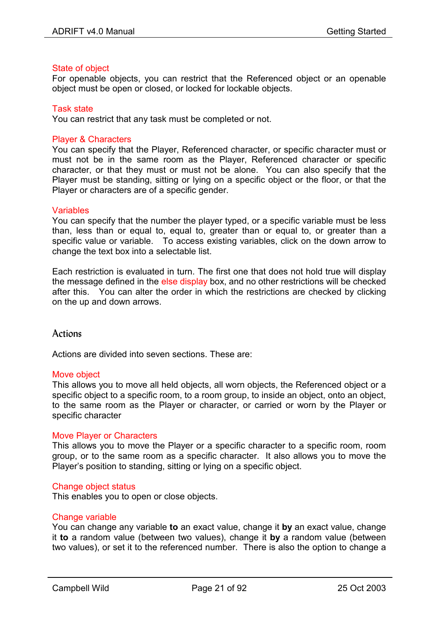#### <span id="page-21-0"></span>State of object

For openable objects, you can restrict that the Referenced object or an openable object must be open or closed, or locked for lockable objects.

#### Task state

You can restrict that any task must be completed or not.

#### Player & Characters

You can specify that the Player, Referenced character, or specific character must or must not be in the same room as the Player, Referenced character or specific character, or that they must or must not be alone. You can also specify that the Player must be standing, sitting or lying on a specific object or the floor, or that the Player or characters are of a specific gender.

#### Variables

You can specify that the number the player typed, or a specific variable must be less than, less than or equal to, equal to, greater than or equal to, or greater than a specific value or variable. To access existing variables, click on the down arrow to change the text box into a selectable list.

Each restriction is evaluated in turn. The first one that does not hold true will display the message defined in the else display box, and no other restrictions will be checked after this. You can alter the order in which the restrictions are checked by clicking on the up and down arrows.

## Actions

Actions are divided into seven sections. These are:

#### Move object

This allows you to move all held objects, all worn objects, the Referenced object or a specific object to a specific room, to a room group, to inside an object, onto an object, to the same room as the Player or character, or carried or worn by the Player or specific character

#### Move Player or Characters

This allows you to move the Player or a specific character to a specific room, room group, or to the same room as a specific character. It also allows you to move the Player's position to standing, sitting or lying on a specific object.

#### Change object status

This enables you to open or close objects.

#### Change variable

You can change any variable **to** an exact value, change it **by** an exact value, change it **to** a random value (between two values), change it **by** a random value (between two values), or set it to the referenced number. There is also the option to change a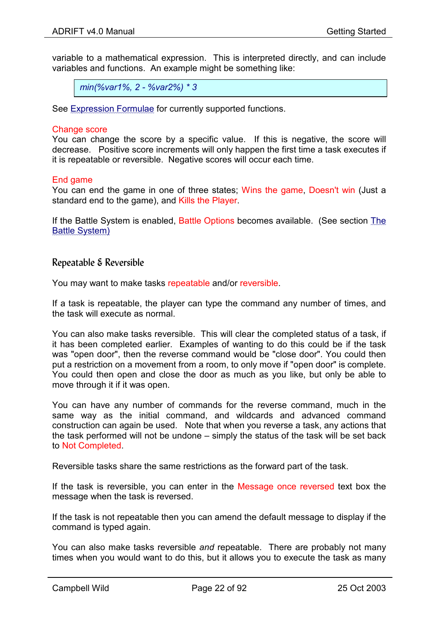<span id="page-22-0"></span>variable to a mathematical expression. This is interpreted directly, and can include variables and functions. An example might be something like:

*min(%var1%, 2 - %var2%) \* 3* 

See [Expression Formulae](#page-48-0) for currently supported functions.

#### Change score

You can change the score by a specific value. If this is negative, the score will decrease. Positive score increments will only happen the first time a task executes if it is repeatable or reversible. Negative scores will occur each time.

#### End game

You can end the game in one of three states; Wins the game, Doesn't win (Just a standard end to the game), and Kills the Player.

If the Battle System is enabled, Battle Options becomes available. (See section [The](#page-65-0) [Battle System\)](#page-65-0)

## Repeatable & Reversible

You may want to make tasks repeatable and/or reversible.

If a task is repeatable, the player can type the command any number of times, and the task will execute as normal.

You can also make tasks reversible. This will clear the completed status of a task, if it has been completed earlier. Examples of wanting to do this could be if the task was "open door", then the reverse command would be "close door". You could then put a restriction on a movement from a room, to only move if "open door" is complete. You could then open and close the door as much as you like, but only be able to move through it if it was open.

You can have any number of commands for the reverse command, much in the same way as the initial command, and wildcards and advanced command construction can again be used. Note that when you reverse a task, any actions that the task performed will not be undone – simply the status of the task will be set back to Not Completed.

Reversible tasks share the same restrictions as the forward part of the task.

If the task is reversible, you can enter in the Message once reversed text box the message when the task is reversed.

If the task is not repeatable then you can amend the default message to display if the command is typed again.

You can also make tasks reversible *and* repeatable. There are probably not many times when you would want to do this, but it allows you to execute the task as many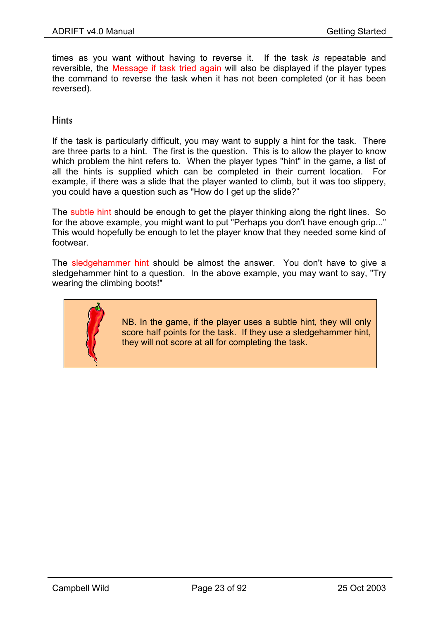<span id="page-23-0"></span>times as you want without having to reverse it. If the task *is* repeatable and reversible, the Message if task tried again will also be displayed if the player types the command to reverse the task when it has not been completed (or it has been reversed).

## **Hints**

If the task is particularly difficult, you may want to supply a hint for the task. There are three parts to a hint. The first is the question. This is to allow the player to know which problem the hint refers to. When the player types "hint" in the game, a list of all the hints is supplied which can be completed in their current location. For example, if there was a slide that the player wanted to climb, but it was too slippery, you could have a question such as "How do I get up the slide?"

The subtle hint should be enough to get the player thinking along the right lines. So for the above example, you might want to put "Perhaps you don't have enough grip..." This would hopefully be enough to let the player know that they needed some kind of footwear.

The sledgehammer hint should be almost the answer. You don't have to give a sledgehammer hint to a question. In the above example, you may want to say, "Try wearing the climbing boots!"

> NB. In the game, if the player uses a subtle hint, they will only score half points for the task. If they use a sledgehammer hint, they will not score at all for completing the task.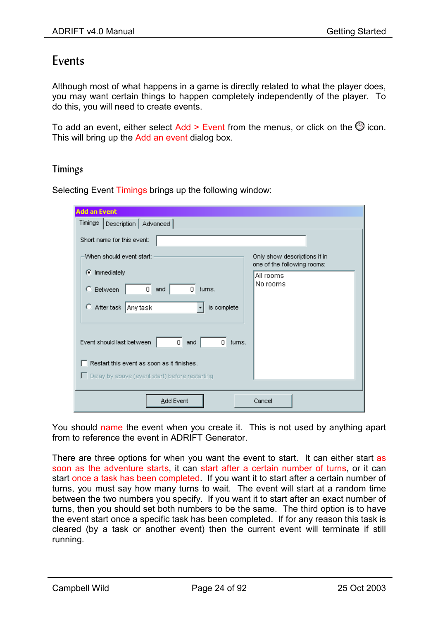# <span id="page-24-0"></span>Events

Although most of what happens in a game is directly related to what the player does, you may want certain things to happen completely independently of the player. To do this, you will need to create events.

To add an event, either select Add > Event from the menus, or click on the  $\mathcal O$  icon. This will bring up the Add an event dialog box.

# Timings

| <b>Add an Event</b>                                               |                                                                          |  |  |
|-------------------------------------------------------------------|--------------------------------------------------------------------------|--|--|
| Timings   Description   Advanced                                  |                                                                          |  |  |
| Short name for this event:                                        |                                                                          |  |  |
| When should event start:<br><b>C</b> Immediately                  | Only show descriptions if in<br>one of the following rooms:<br>All rooms |  |  |
| $\mathbf{0}$<br>$\overline{0}$<br>C Between<br>and  <br>turns.    | No rooms                                                                 |  |  |
| C After task Any task<br>is complete                              |                                                                          |  |  |
| $\overline{0}$<br>and<br>0<br>Event should last between<br>turns. |                                                                          |  |  |
| Restart this event as soon as it finishes.                        |                                                                          |  |  |
| Delay by above (event start) before restarting                    |                                                                          |  |  |
| Add Event                                                         | Cancel                                                                   |  |  |

Selecting Event Timings brings up the following window:

You should name the event when you create it. This is not used by anything apart from to reference the event in ADRIFT Generator.

There are three options for when you want the event to start. It can either start as soon as the adventure starts, it can start after a certain number of turns, or it can start once a task has been completed. If you want it to start after a certain number of turns, you must say how many turns to wait. The event will start at a random time between the two numbers you specify. If you want it to start after an exact number of turns, then you should set both numbers to be the same. The third option is to have the event start once a specific task has been completed. If for any reason this task is cleared (by a task or another event) then the current event will terminate if still running.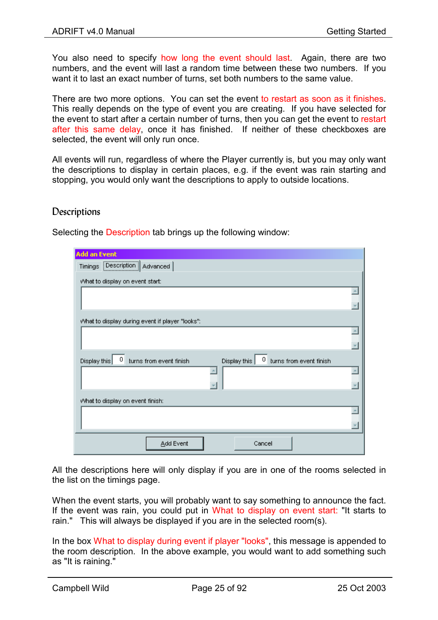<span id="page-25-0"></span>You also need to specify how long the event should last. Again, there are two numbers, and the event will last a random time between these two numbers. If you want it to last an exact number of turns, set both numbers to the same value.

There are two more options. You can set the event to restart as soon as it finishes. This really depends on the type of event you are creating. If you have selected for the event to start after a certain number of turns, then you can get the event to restart after this same delay, once it has finished. If neither of these checkboxes are selected, the event will only run once.

All events will run, regardless of where the Player currently is, but you may only want the descriptions to display in certain places, e.g. if the event was rain starting and stopping, you would only want the descriptions to apply to outside locations.

# Descriptions

| <b>Add an Event</b>                             |                                                            |  |
|-------------------------------------------------|------------------------------------------------------------|--|
| Timings Description<br>Advanced                 |                                                            |  |
| What to display on event start:                 |                                                            |  |
|                                                 |                                                            |  |
|                                                 |                                                            |  |
| What to display during event if player "looks": |                                                            |  |
|                                                 |                                                            |  |
|                                                 |                                                            |  |
| turns from event finish<br>0<br>Display this    | $\vert 0 \vert$<br>turns from event finish<br>Display this |  |
|                                                 |                                                            |  |
|                                                 |                                                            |  |
| What to display on event finish:                |                                                            |  |
|                                                 |                                                            |  |
|                                                 |                                                            |  |
|                                                 |                                                            |  |
| Add Event                                       | Cancel                                                     |  |

Selecting the Description tab brings up the following window:

All the descriptions here will only display if you are in one of the rooms selected in the list on the timings page.

When the event starts, you will probably want to say something to announce the fact. If the event was rain, you could put in What to display on event start: "It starts to rain." This will always be displayed if you are in the selected room(s).

In the box What to display during event if player "looks", this message is appended to the room description. In the above example, you would want to add something such as "It is raining."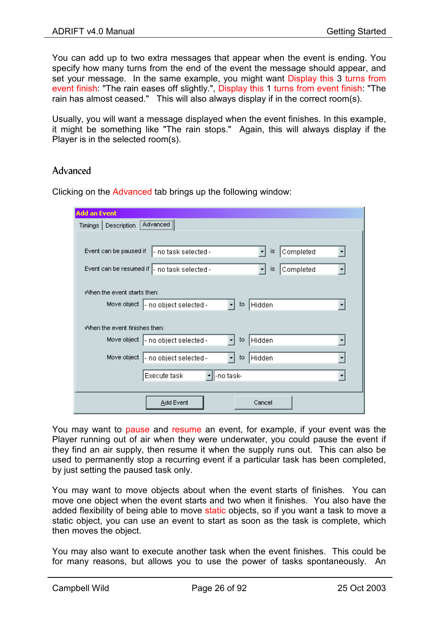<span id="page-26-0"></span>You can add up to two extra messages that appear when the event is ending. You specify how many turns from the end of the event the message should appear, and set your message. In the same example, you might want Display this 3 turns from event finish: "The rain eases off slightly.", Display this 1 turns from event finish: "The rain has almost ceased." This will also always display if in the correct room(s).

Usually, you will want a message displayed when the event finishes. In this example, it might be something like "The rain stops." Again, this will always display if the Player is in the selected room(s).

# Advanced

| <b>Add an Event</b>                                                   |
|-----------------------------------------------------------------------|
| Advanced<br>Timings   Description                                     |
|                                                                       |
| Completed<br>Event can be paused if<br>- no task selected -<br>is     |
| Event can be resumed if  - no task selected -<br>Completed<br>⊣<br>is |
| When the event starts then:                                           |
| - no object selected -<br>Move object<br>Hidden<br>to                 |
| When the event finishes then:                                         |
| Move object<br>- no object selected -<br>Hidden<br>to<br>▾            |
| Move object<br>- no object selected -<br>Hidden<br>to                 |
| -no task-<br>Execute task                                             |
|                                                                       |
| Add Event<br>Cancel                                                   |

Clicking on the Advanced tab brings up the following window:

You may want to pause and resume an event, for example, if your event was the Player running out of air when they were underwater, you could pause the event if they find an air supply, then resume it when the supply runs out. This can also be used to permanently stop a recurring event if a particular task has been completed, by just setting the paused task only.

You may want to move objects about when the event starts of finishes. You can move one object when the event starts and two when it finishes. You also have the added flexibility of being able to move static objects, so if you want a task to move a static object, you can use an event to start as soon as the task is complete, which then moves the object.

You may also want to execute another task when the event finishes. This could be for many reasons, but allows you to use the power of tasks spontaneously. An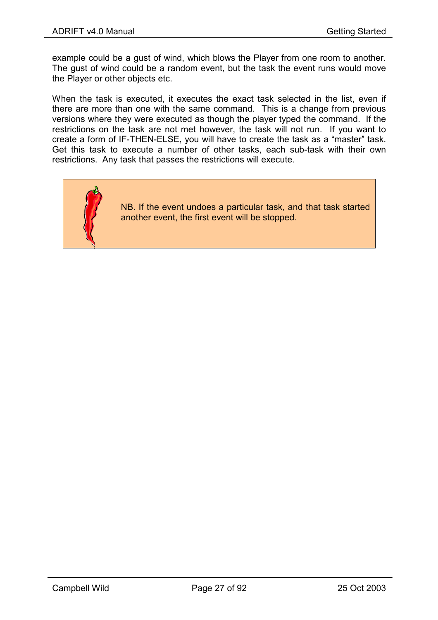example could be a gust of wind, which blows the Player from one room to another. The gust of wind could be a random event, but the task the event runs would move the Player or other objects etc.

When the task is executed, it executes the exact task selected in the list, even if there are more than one with the same command. This is a change from previous versions where they were executed as though the player typed the command. If the restrictions on the task are not met however, the task will not run. If you want to create a form of IF-THEN-ELSE, you will have to create the task as a "master" task. Get this task to execute a number of other tasks, each sub-task with their own restrictions. Any task that passes the restrictions will execute.



NB. If the event undoes a particular task, and that task started another event, the first event will be stopped.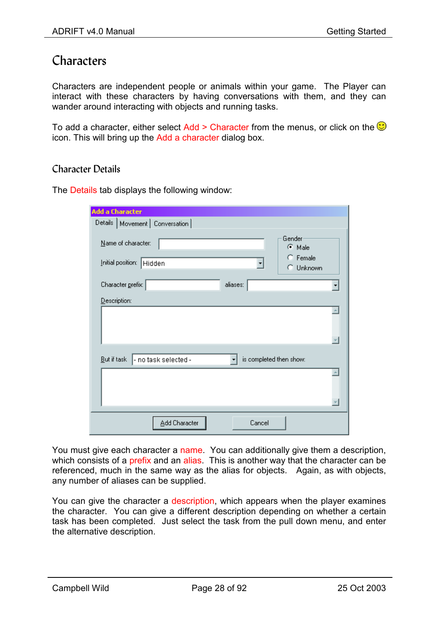# <span id="page-28-0"></span>**Characters**

Characters are independent people or animals within your game. The Player can interact with these characters by having conversations with them, and they can wander around interacting with objects and running tasks.

To add a character, either select Add > Character from the menus, or click on the  $\odot$ icon. This will bring up the Add a character dialog box.

# Character Details

The Details tab displays the following window:

| <b>Add a Character</b>                         |                         |                                                    |
|------------------------------------------------|-------------------------|----------------------------------------------------|
| Details   Movement   Conversation              |                         |                                                    |
| Name of character:<br>Initial position: Hidden |                         | Gender<br>C Male<br>$\bigcirc$ Female<br>C Unknown |
| Character prefix:                              | aliases:                |                                                    |
| Description:                                   |                         |                                                    |
|                                                |                         |                                                    |
| But if task<br>- no task selected -            | is completed then show: |                                                    |
|                                                |                         |                                                    |
|                                                |                         |                                                    |
| Add Character                                  | Cancel                  |                                                    |

You must give each character a name. You can additionally give them a description, which consists of a prefix and an alias. This is another way that the character can be referenced, much in the same way as the alias for objects. Again, as with objects, any number of aliases can be supplied.

You can give the character a description, which appears when the player examines the character. You can give a different description depending on whether a certain task has been completed. Just select the task from the pull down menu, and enter the alternative description.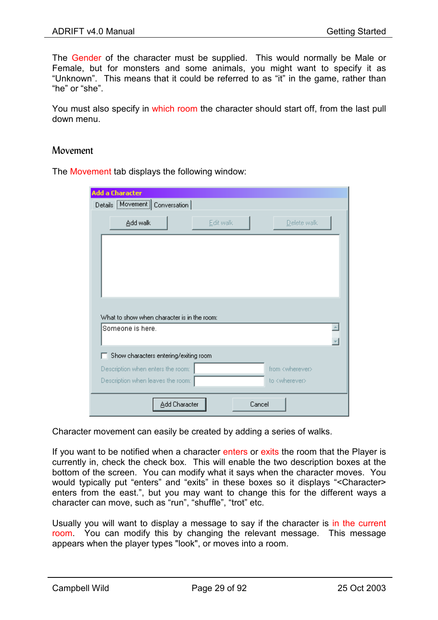<span id="page-29-0"></span>The Gender of the character must be supplied. This would normally be Male or Female, but for monsters and some animals, you might want to specify it as "Unknown". This means that it could be referred to as "it" in the game, rather than "he" or "she".

You must also specify in which room the character should start off, from the last pull down menu.

#### Movement

The Movement tab displays the following window:

| <b>Add a Character</b><br>Details Movement   Conversation |           |                            |  |
|-----------------------------------------------------------|-----------|----------------------------|--|
| Add walk                                                  | Edit walk | Delete walk                |  |
|                                                           |           |                            |  |
|                                                           |           |                            |  |
|                                                           |           |                            |  |
|                                                           |           |                            |  |
|                                                           |           |                            |  |
| What to show when character is in the room:               |           |                            |  |
| Someone is here.                                          |           |                            |  |
| Show characters entering/exiting room                     |           |                            |  |
| Description when enters the room:                         |           | from <wherever></wherever> |  |

Character movement can easily be created by adding a series of walks.

If you want to be notified when a character enters or exits the room that the Player is currently in, check the check box. This will enable the two description boxes at the bottom of the screen. You can modify what it says when the character moves. You would typically put "enters" and "exits" in these boxes so it displays "<Character> enters from the east.", but you may want to change this for the different ways a character can move, such as "run", "shuffle", "trot" etc.

Usually you will want to display a message to say if the character is in the current room. You can modify this by changing the relevant message. This message appears when the player types "look", or moves into a room.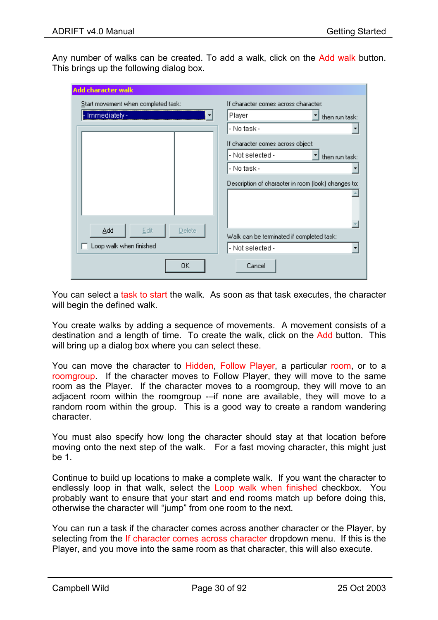Any number of walks can be created. To add a walk, click on the Add walk button. This brings up the following dialog box.

| <b>Add character walk</b>                        |                                                                                       |  |  |
|--------------------------------------------------|---------------------------------------------------------------------------------------|--|--|
| Start movement when completed task:              | If character comes across character:                                                  |  |  |
| Immediately-                                     | Player<br>then run task:                                                              |  |  |
|                                                  | - No task-                                                                            |  |  |
|                                                  | If character comes across object:<br>- Not selected -<br>then run task:<br>- No task- |  |  |
|                                                  | Description of character in room (look) changes to:                                   |  |  |
| Add<br>Edit<br>Delete<br>Loop walk when finished | Walk can be terminated if completed task:<br>- Not selected -                         |  |  |
| 0K                                               | Cancel                                                                                |  |  |

You can select a task to start the walk. As soon as that task executes, the character will begin the defined walk.

You create walks by adding a sequence of movements. A movement consists of a destination and a length of time. To create the walk, click on the Add button. This will bring up a dialog box where you can select these.

You can move the character to Hidden, Follow Player, a particular room, or to a roomgroup. If the character moves to Follow Player, they will move to the same room as the Player. If the character moves to a roomgroup, they will move to an adjacent room within the roomgroup --if none are available, they will move to a random room within the group. This is a good way to create a random wandering character.

You must also specify how long the character should stay at that location before moving onto the next step of the walk. For a fast moving character, this might just be 1.

Continue to build up locations to make a complete walk. If you want the character to endlessly loop in that walk, select the Loop walk when finished checkbox. You probably want to ensure that your start and end rooms match up before doing this, otherwise the character will "jump" from one room to the next.

You can run a task if the character comes across another character or the Player, by selecting from the If character comes across character dropdown menu. If this is the Player, and you move into the same room as that character, this will also execute.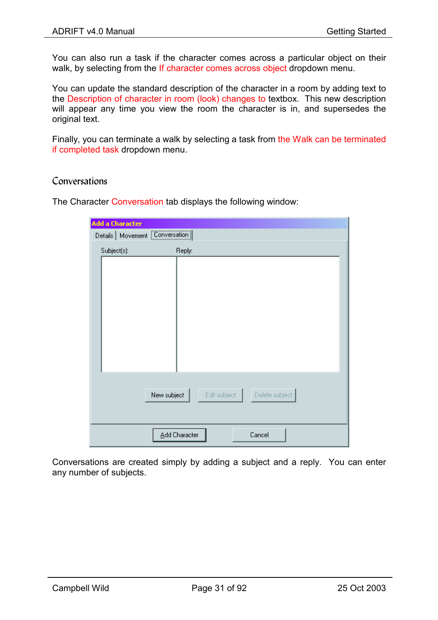<span id="page-31-0"></span>You can also run a task if the character comes across a particular object on their walk, by selecting from the If character comes across object dropdown menu.

You can update the standard description of the character in a room by adding text to the Description of character in room (look) changes to textbox. This new description will appear any time you view the room the character is in, and supersedes the original text.

Finally, you can terminate a walk by selecting a task from the Walk can be terminated if completed task dropdown menu.

## Conversations

| <b>Add a Character</b>            |                                               |
|-----------------------------------|-----------------------------------------------|
| Details   Movement [Conversation] |                                               |
| Subject(s):                       | Reply:                                        |
|                                   |                                               |
|                                   |                                               |
|                                   | Delete subject<br>New subject<br>Edit subject |
|                                   | Add Character<br>Cancel                       |

The Character Conversation tab displays the following window:

Conversations are created simply by adding a subject and a reply. You can enter any number of subjects.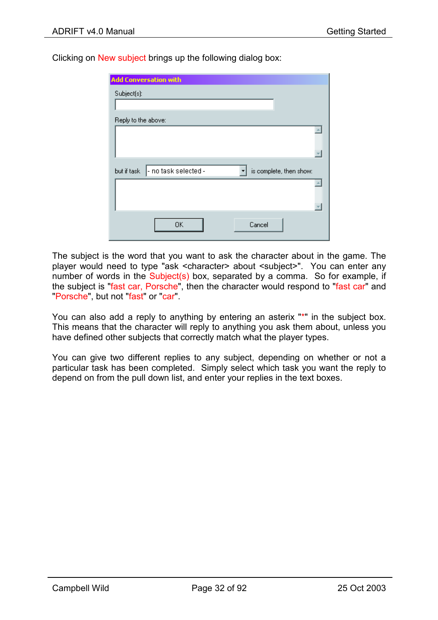Clicking on New subject brings up the following dialog box:

| <b>Add Conversation with</b>        |                         |
|-------------------------------------|-------------------------|
| Subject(s):                         |                         |
|                                     |                         |
| Reply to the above:                 |                         |
|                                     |                         |
|                                     |                         |
| - no task selected -<br>but if task | is complete, then show: |
|                                     |                         |
|                                     |                         |
| <b>OK</b>                           | Cancel                  |

The subject is the word that you want to ask the character about in the game. The player would need to type "ask <character> about <subject>". You can enter any number of words in the Subject(s) box, separated by a comma. So for example, if the subject is "fast car, Porsche", then the character would respond to "fast car" and "Porsche", but not "fast" or "car".

You can also add a reply to anything by entering an asterix "\*" in the subject box. This means that the character will reply to anything you ask them about, unless you have defined other subjects that correctly match what the player types.

You can give two different replies to any subject, depending on whether or not a particular task has been completed. Simply select which task you want the reply to depend on from the pull down list, and enter your replies in the text boxes.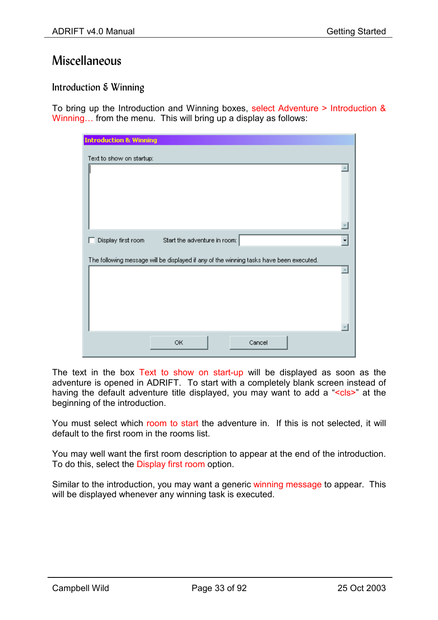# <span id="page-33-0"></span>Miscellaneous

# Introduction & Winning

To bring up the Introduction and Winning boxes, select Adventure > Introduction & Winning… from the menu. This will bring up a display as follows:

| <b>Introduction &amp; Winning</b>                                                       |                              |        |  |
|-----------------------------------------------------------------------------------------|------------------------------|--------|--|
| Text to show on startup:                                                                |                              |        |  |
|                                                                                         |                              |        |  |
|                                                                                         |                              |        |  |
| Display first room                                                                      | Start the adventure in room: |        |  |
| The following message will be displayed if any of the winning tasks have been executed. |                              |        |  |
|                                                                                         |                              |        |  |
|                                                                                         |                              |        |  |
|                                                                                         | 0K                           | Cancel |  |

The text in the box Text to show on start-up will be displayed as soon as the adventure is opened in ADRIFT. To start with a completely blank screen instead of having the default adventure title displayed, you may want to add a "<cls>" at the beginning of the introduction.

You must select which room to start the adventure in. If this is not selected, it will default to the first room in the rooms list.

You may well want the first room description to appear at the end of the introduction. To do this, select the Display first room option.

Similar to the introduction, you may want a generic winning message to appear. This will be displayed whenever any winning task is executed.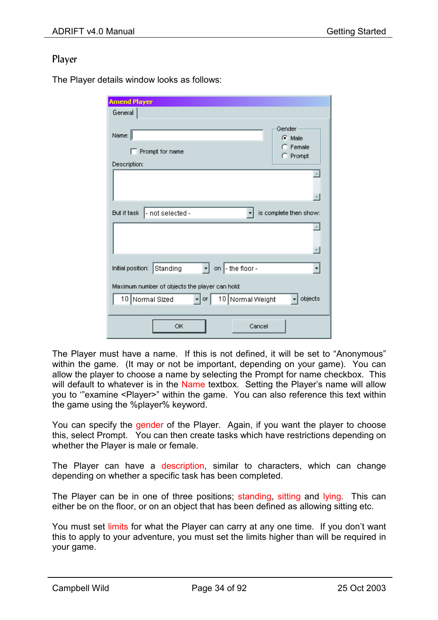# <span id="page-34-0"></span>Player

The Player details window looks as follows:

| <b>Amend Player</b>                                  |                                            |
|------------------------------------------------------|--------------------------------------------|
| General                                              |                                            |
| Name: $\parallel$<br>Prompt for name<br>Description: | Gender<br>C Male<br>$C$ Female<br>C Prompt |
|                                                      |                                            |
| But if task  - not selected -                        | is complete then show:                     |
|                                                      |                                            |
|                                                      |                                            |
| on  - the floor -<br>Standing<br>Initial position:   |                                            |
| Maximum number of objects the player can hold:       |                                            |
| 10 Normal Sized<br>10 Normal Weight<br>  or          | objects                                    |
| ОK<br>Cancel                                         |                                            |

The Player must have a name. If this is not defined, it will be set to "Anonymous" within the game. (It may or not be important, depending on your game). You can allow the player to choose a name by selecting the Prompt for name checkbox. This will default to whatever is in the Name textbox. Setting the Player's name will allow you to '"examine <Player>" within the game. You can also reference this text within the game using the %player% keyword.

You can specify the gender of the Player. Again, if you want the player to choose this, select Prompt. You can then create tasks which have restrictions depending on whether the Player is male or female.

The Player can have a description, similar to characters, which can change depending on whether a specific task has been completed.

The Player can be in one of three positions; standing, sitting and lying. This can either be on the floor, or on an object that has been defined as allowing sitting etc.

You must set limits for what the Player can carry at any one time. If you don't want this to apply to your adventure, you must set the limits higher than will be required in your game.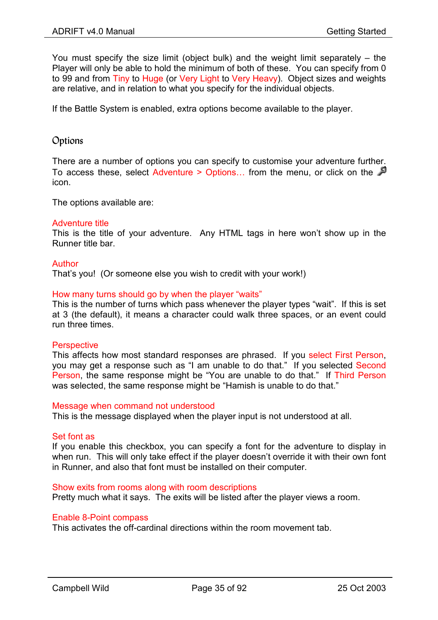<span id="page-35-0"></span>You must specify the size limit (object bulk) and the weight limit separately – the Player will only be able to hold the minimum of both of these. You can specify from 0 to 99 and from Tiny to Huge (or Very Light to Very Heavy). Object sizes and weights are relative, and in relation to what you specify for the individual objects.

If the Battle System is enabled, extra options become available to the player.

## Options

There are a number of options you can specify to customise your adventure further. To access these, select Adventure > Options... from the menu, or click on the icon.

The options available are:

#### Adventure title

This is the title of your adventure. Any HTML tags in here won't show up in the Runner title bar.

#### Author

That's you! (Or someone else you wish to credit with your work!)

#### How many turns should go by when the player "waits"

This is the number of turns which pass whenever the player types "wait". If this is set at 3 (the default), it means a character could walk three spaces, or an event could run three times.

#### **Perspective**

This affects how most standard responses are phrased. If you select First Person, you may get a response such as "I am unable to do that." If you selected Second Person, the same response might be "You are unable to do that." If Third Person was selected, the same response might be "Hamish is unable to do that."

#### Message when command not understood

This is the message displayed when the player input is not understood at all.

#### Set font as

If you enable this checkbox, you can specify a font for the adventure to display in when run. This will only take effect if the player doesn't override it with their own font in Runner, and also that font must be installed on their computer.

#### Show exits from rooms along with room descriptions

Pretty much what it says. The exits will be listed after the player views a room.

#### Enable 8-Point compass

This activates the off-cardinal directions within the room movement tab.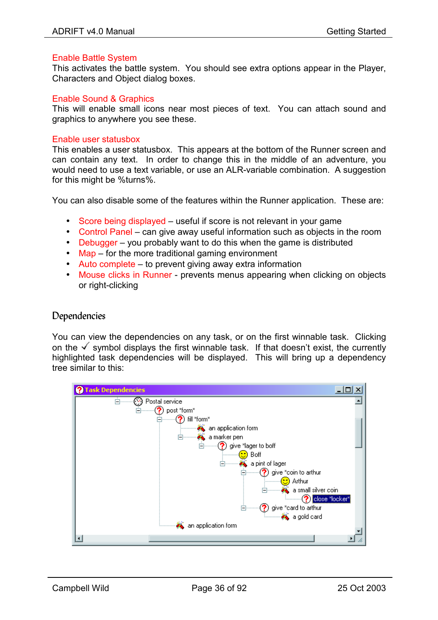#### Enable Battle System

This activates the battle system. You should see extra options appear in the Player, Characters and Object dialog boxes.

#### Enable Sound & Graphics

This will enable small icons near most pieces of text. You can attach sound and graphics to anywhere you see these.

#### Enable user statusbox

This enables a user statusbox. This appears at the bottom of the Runner screen and can contain any text. In order to change this in the middle of an adventure, you would need to use a text variable, or use an ALR-variable combination. A suggestion for this might be %turns%.

You can also disable some of the features within the Runner application. These are:

- Score being displayed useful if score is not relevant in your game
- Control Panel can give away useful information such as objects in the room
- Debugger you probably want to do this when the game is distributed
- Map for the more traditional gaming environment
- Auto complete to prevent giving away extra information
- Mouse clicks in Runner prevents menus appearing when clicking on objects or right-clicking

### Dependencies

You can view the dependencies on any task, or on the first winnable task. Clicking on the  $\checkmark$  symbol displays the first winnable task. If that doesn't exist, the currently highlighted task dependencies will be displayed. This will bring up a dependency tree similar to this:

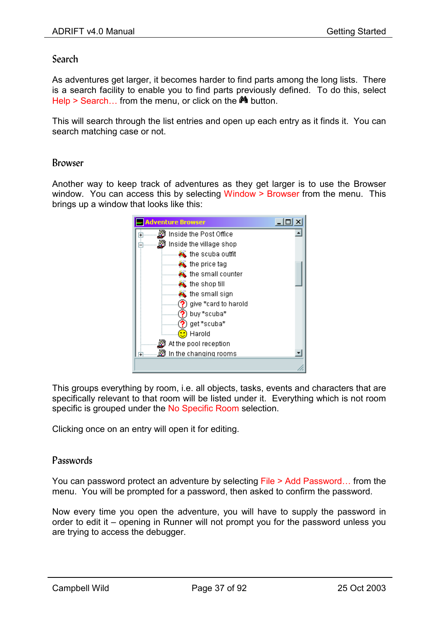## Search

As adventures get larger, it becomes harder to find parts among the long lists. There is a search facility to enable you to find parts previously defined. To do this, select Help > Search... from the menu, or click on the  $\blacksquare$  button.

This will search through the list entries and open up each entry as it finds it. You can search matching case or not.

### Browser

Another way to keep track of adventures as they get larger is to use the Browser window. You can access this by selecting Window > Browser from the menu. This brings up a window that looks like this:



This groups everything by room, i.e. all objects, tasks, events and characters that are specifically relevant to that room will be listed under it. Everything which is not room specific is grouped under the No Specific Room selection.

Clicking once on an entry will open it for editing.

### Passwords

You can password protect an adventure by selecting File > Add Password… from the menu. You will be prompted for a password, then asked to confirm the password.

Now every time you open the adventure, you will have to supply the password in order to edit it – opening in Runner will not prompt you for the password unless you are trying to access the debugger.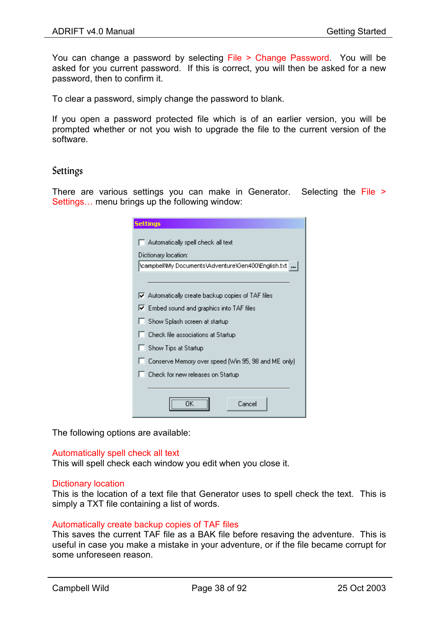You can change a password by selecting File > Change Password. You will be asked for you current password. If this is correct, you will then be asked for a new password, then to confirm it.

To clear a password, simply change the password to blank.

If you open a password protected file which is of an earlier version, you will be prompted whether or not you wish to upgrade the file to the current version of the software.

#### Settings

There are various settings you can make in Generator. Selecting the File > Settings… menu brings up the following window:

| Settings                                                 |  |  |
|----------------------------------------------------------|--|--|
| Automatically spell check all text                       |  |  |
| Dictionary location:                                     |  |  |
| //campbellWly Documents\Adventure\Gen400\English.txt     |  |  |
|                                                          |  |  |
| $\nabla$ Automatically create backup copies of TAF files |  |  |
| $\triangleright$ Embed sound and graphics into TAF files |  |  |
| Show Splash screen at startup                            |  |  |
| Check file associations at Startup                       |  |  |
| Show Tips at Startup                                     |  |  |
| Conserve Memory over speed (Win 95, 98 and ME only).     |  |  |
| Check for new releases on Startup                        |  |  |
|                                                          |  |  |
| Cancel                                                   |  |  |

The following options are available:

#### Automatically spell check all text

This will spell check each window you edit when you close it.

#### Dictionary location

This is the location of a text file that Generator uses to spell check the text. This is simply a TXT file containing a list of words.

#### Automatically create backup copies of TAF files

This saves the current TAF file as a BAK file before resaving the adventure. This is useful in case you make a mistake in your adventure, or if the file became corrupt for some unforeseen reason.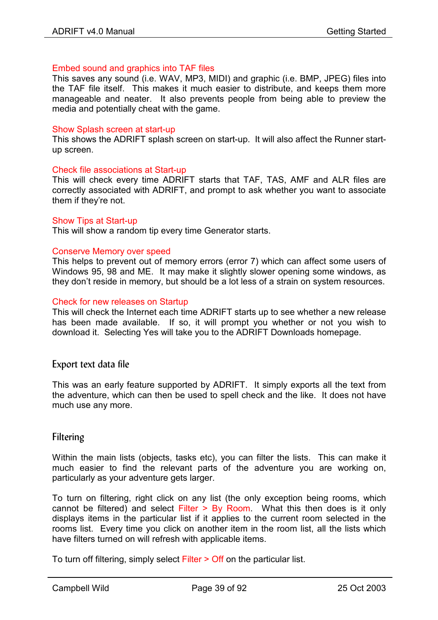#### Embed sound and graphics into TAF files

This saves any sound (i.e. WAV, MP3, MIDI) and graphic (i.e. BMP, JPEG) files into the TAF file itself. This makes it much easier to distribute, and keeps them more manageable and neater. It also prevents people from being able to preview the media and potentially cheat with the game.

#### Show Splash screen at start-up

This shows the ADRIFT splash screen on start-up. It will also affect the Runner startup screen.

#### Check file associations at Start-up

This will check every time ADRIFT starts that TAF, TAS, AMF and ALR files are correctly associated with ADRIFT, and prompt to ask whether you want to associate them if they're not.

#### Show Tips at Start-up

This will show a random tip every time Generator starts.

#### Conserve Memory over speed

This helps to prevent out of memory errors (error 7) which can affect some users of Windows 95, 98 and ME. It may make it slightly slower opening some windows, as they don't reside in memory, but should be a lot less of a strain on system resources.

#### Check for new releases on Startup

This will check the Internet each time ADRIFT starts up to see whether a new release has been made available. If so, it will prompt you whether or not you wish to download it. Selecting Yes will take you to the ADRIFT Downloads homepage.

#### Export text data file

This was an early feature supported by ADRIFT. It simply exports all the text from the adventure, which can then be used to spell check and the like. It does not have much use any more.

### **Filtering**

Within the main lists (objects, tasks etc), you can filter the lists. This can make it much easier to find the relevant parts of the adventure you are working on, particularly as your adventure gets larger.

To turn on filtering, right click on any list (the only exception being rooms, which cannot be filtered) and select Filter > By Room. What this then does is it only displays items in the particular list if it applies to the current room selected in the rooms list. Every time you click on another item in the room list, all the lists which have filters turned on will refresh with applicable items.

To turn off filtering, simply select Filter > Off on the particular list.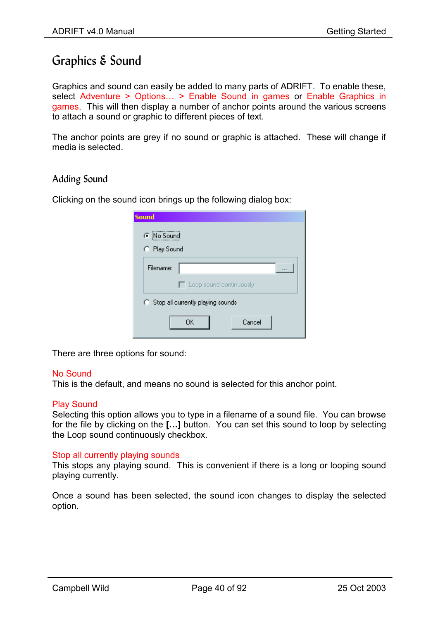# Graphics & Sound

Graphics and sound can easily be added to many parts of ADRIFT. To enable these, select Adventure > Options... > Enable Sound in games or Enable Graphics in games. This will then display a number of anchor points around the various screens to attach a sound or graphic to different pieces of text.

The anchor points are grey if no sound or graphic is attached. These will change if media is selected.

## Adding Sound

Clicking on the sound icon brings up the following dialog box:

| Sound<br>C No Sound                 |  |
|-------------------------------------|--|
| C Play Sound                        |  |
| Filename:<br>                       |  |
| $\Gamma$ Loop sound continuously    |  |
| C Stop all currently playing sounds |  |
| ΟK<br>Cancel                        |  |

There are three options for sound:

### No Sound

This is the default, and means no sound is selected for this anchor point.

### Play Sound

Selecting this option allows you to type in a filename of a sound file. You can browse for the file by clicking on the **[…]** button. You can set this sound to loop by selecting the Loop sound continuously checkbox.

### Stop all currently playing sounds

This stops any playing sound. This is convenient if there is a long or looping sound playing currently.

Once a sound has been selected, the sound icon changes to display the selected option.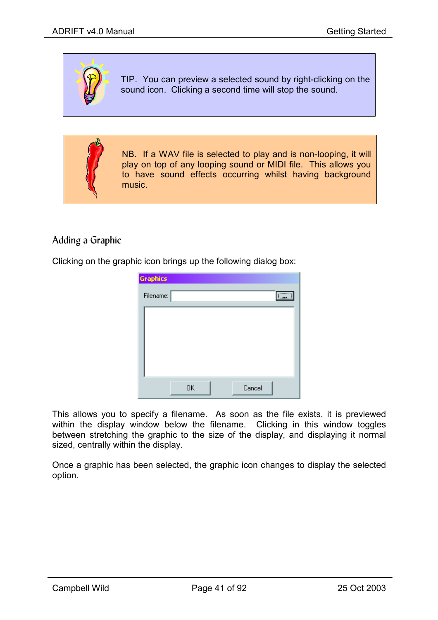

TIP. You can preview a selected sound by right-clicking on the sound icon. Clicking a second time will stop the sound.



NB. If a WAV file is selected to play and is non-looping, it will play on top of any looping sound or MIDI file. This allows you to have sound effects occurring whilst having background music.

## Adding a Graphic

Clicking on the graphic icon brings up the following dialog box:

| <b>Graphics</b> |    |        |       |
|-----------------|----|--------|-------|
| Filename:       |    |        | 5.700 |
|                 |    |        |       |
|                 |    |        |       |
|                 |    |        |       |
|                 |    |        |       |
|                 | 0K | Cancel |       |

This allows you to specify a filename. As soon as the file exists, it is previewed within the display window below the filename. Clicking in this window toggles between stretching the graphic to the size of the display, and displaying it normal sized, centrally within the display.

Once a graphic has been selected, the graphic icon changes to display the selected option.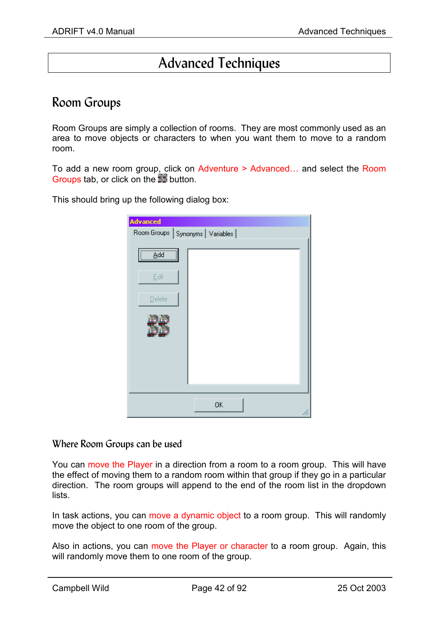# Advanced Techniques

## Room Groups

Room Groups are simply a collection of rooms. They are most commonly used as an area to move objects or characters to when you want them to move to a random room.

To add a new room group, click on Adventure > Advanced… and select the Room Groups tab, or click on the **BB** button.

This should bring up the following dialog box:

| <b>Advanced</b>                             |    |  |
|---------------------------------------------|----|--|
| Room Groups   Synonyms   Variables          |    |  |
| $\overline{\mathsf{Add}}$<br>Edit<br>Delete |    |  |
|                                             |    |  |
|                                             | 0K |  |

## Where Room Groups can be used

You can move the Player in a direction from a room to a room group. This will have the effect of moving them to a random room within that group if they go in a particular direction. The room groups will append to the end of the room list in the dropdown lists.

In task actions, you can move a dynamic object to a room group. This will randomly move the object to one room of the group.

Also in actions, you can move the Player or character to a room group. Again, this will randomly move them to one room of the group.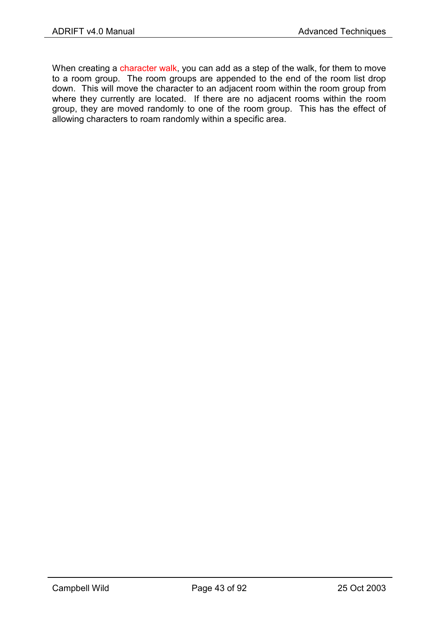When creating a character walk, you can add as a step of the walk, for them to move to a room group. The room groups are appended to the end of the room list drop down. This will move the character to an adjacent room within the room group from where they currently are located. If there are no adjacent rooms within the room group, they are moved randomly to one of the room group. This has the effect of allowing characters to roam randomly within a specific area.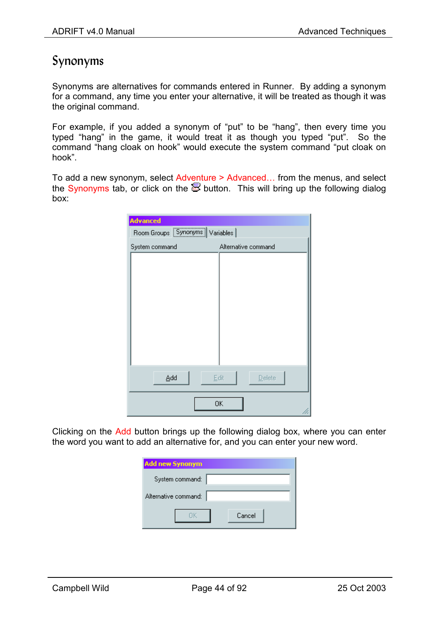# Synonyms

Synonyms are alternatives for commands entered in Runner. By adding a synonym for a command, any time you enter your alternative, it will be treated as though it was the original command.

For example, if you added a synonym of "put" to be "hang", then every time you typed "hang" in the game, it would treat it as though you typed "put". So the command "hang cloak on hook" would execute the system command "put cloak on hook".

To add a new synonym, select Adventure > Advanced… from the menus, and select the Synonyms tab, or click on the  $\mathbb{\mathbb{B}}$  button. This will bring up the following dialog box:

| <b>Advanced</b>                   |                     |  |
|-----------------------------------|---------------------|--|
| Room Groups [Synonyms] Variables] |                     |  |
| System command                    | Alternative command |  |
|                                   |                     |  |
|                                   |                     |  |
|                                   |                     |  |
|                                   |                     |  |
|                                   |                     |  |
|                                   |                     |  |
|                                   |                     |  |
|                                   |                     |  |
|                                   |                     |  |
| Add                               | Edit<br>Delete      |  |
|                                   |                     |  |
| ΟK                                |                     |  |
|                                   |                     |  |

Clicking on the Add button brings up the following dialog box, where you can enter the word you want to add an alternative for, and you can enter your new word.

| Add new Synonym      |        |
|----------------------|--------|
| System command:      |        |
| Alternative command: |        |
|                      | Cancel |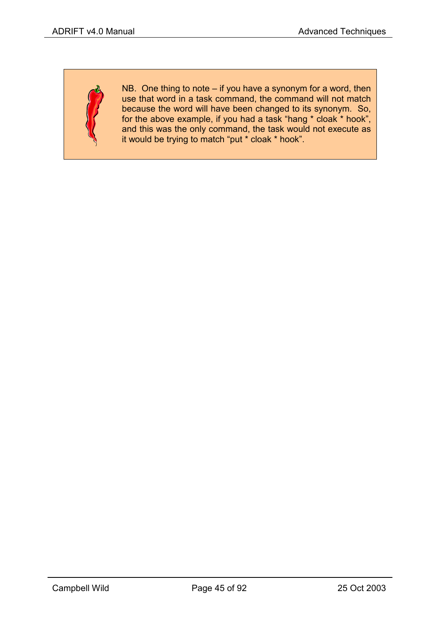NB. One thing to note – if you have a synonym for a word, then use that word in a task command, the command will not match because the word will have been changed to its synonym. So, for the above example, if you had a task "hang \* cloak \* hook", and this was the only command, the task would not execute as it would be trying to match "put \* cloak \* hook".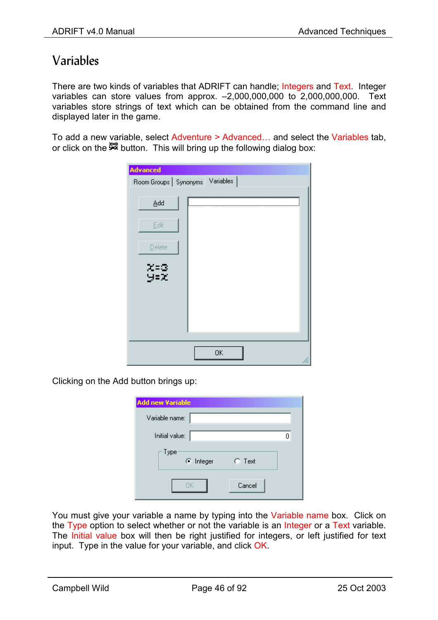# Variables

There are two kinds of variables that ADRIFT can handle; Integers and Text. Integer variables can store values from approx. –2,000,000,000 to 2,000,000,000. Text variables store strings of text which can be obtained from the command line and displayed later in the game.

To add a new variable, select Adventure > Advanced… and select the Variables tab, or click on the  $\frac{32}{2}$  button. This will bring up the following dialog box:

| <b>Advanced</b>                     |    |
|-------------------------------------|----|
| Room Groups   Synonyms Variables    |    |
| Add<br>Edit<br>Delete<br>x⊧3<br>y⊧x |    |
|                                     | 0K |

Clicking on the Add button brings up:

| <b>Add new Variable</b> |          |  |
|-------------------------|----------|--|
| Variable name:          |          |  |
| Initial value:          |          |  |
| -Type:                  |          |  |
| C Integer               | $C$ Text |  |
|                         |          |  |
|                         | Cancel   |  |

You must give your variable a name by typing into the Variable name box. Click on the Type option to select whether or not the variable is an Integer or a Text variable. The Initial value box will then be right justified for integers, or left justified for text input. Type in the value for your variable, and click OK.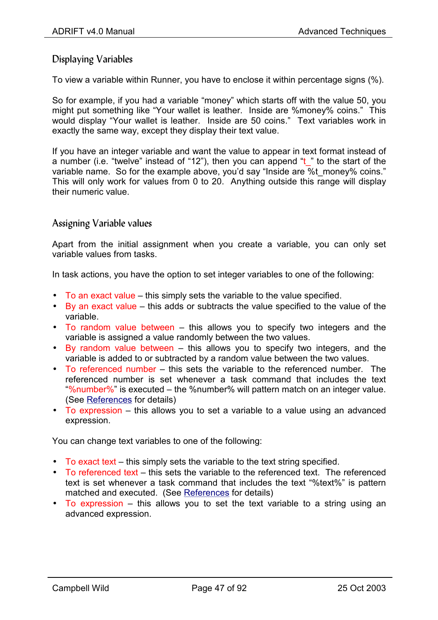## Displaying Variables

To view a variable within Runner, you have to enclose it within percentage signs (%).

So for example, if you had a variable "money" which starts off with the value 50, you might put something like "Your wallet is leather. Inside are %money% coins." This would display "Your wallet is leather. Inside are 50 coins." Text variables work in exactly the same way, except they display their text value.

If you have an integer variable and want the value to appear in text format instead of a number (i.e. "twelve" instead of "12"), then you can append "t" to the start of the variable name. So for the example above, you'd say "Inside are %t\_money% coins." This will only work for values from 0 to 20. Anything outside this range will display their numeric value.

## Assigning Variable values

Apart from the initial assignment when you create a variable, you can only set variable values from tasks.

In task actions, you have the option to set integer variables to one of the following:

- To an exact value this simply sets the variable to the value specified.
- By an exact value this adds or subtracts the value specified to the value of the variable.
- To random value between this allows you to specify two integers and the variable is assigned a value randomly between the two values.
- By random value between this allows you to specify two integers, and the variable is added to or subtracted by a random value between the two values.
- To referenced number this sets the variable to the referenced number. The referenced number is set whenever a task command that includes the text "%number%" is executed – the %number% will pattern match on an integer value. (See [References](#page-52-0) for details)
- To expression this allows you to set a variable to a value using an advanced expression.

You can change text variables to one of the following:

- To exact text this simply sets the variable to the text string specified.
- To referenced text this sets the variable to the referenced text. The referenced text is set whenever a task command that includes the text "%text%" is pattern matched and executed. (See [References](#page-52-0) for details)
- To expression this allows you to set the text variable to a string using an advanced expression.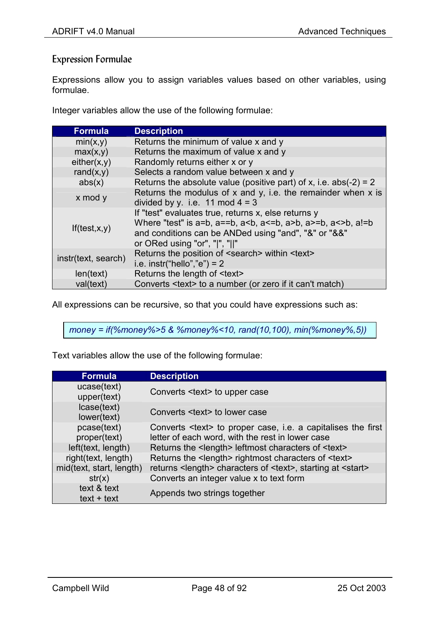## Expression Formulae

Expressions allow you to assign variables values based on other variables, using formulae.

Integer variables allow the use of the following formulae:

| <b>Formula</b>      | <b>Description</b>                                                                                                                                                                                                                            |
|---------------------|-----------------------------------------------------------------------------------------------------------------------------------------------------------------------------------------------------------------------------------------------|
| min(x,y)            | Returns the minimum of value x and y                                                                                                                                                                                                          |
| max(x,y)            | Returns the maximum of value x and y                                                                                                                                                                                                          |
| either(x,y)         | Randomly returns either x or y                                                                                                                                                                                                                |
| rand $(x,y)$        | Selects a random value between x and y                                                                                                                                                                                                        |
| abs(x)              | Returns the absolute value (positive part) of x, i.e. abs(-2) = 2                                                                                                                                                                             |
| x mod y             | Returns the modulus of $x$ and $y$ , i.e. the remainder when $x$ is<br>divided by y. i.e. 11 mod $4 = 3$                                                                                                                                      |
| If (test, x, y)     | If "test" evaluates true, returns x, else returns y<br>Where "test" is a=b, a==b, a <b, a="" a<="b,">b, a&gt;=b, a&lt;&gt;b, al=b<br/>and conditions can be ANDed using "and", "&amp;" or "&amp;&amp;"<br/>or ORed using "or", " ", "  "</b,> |
| instr(text, search) | Returns the position of <search> within <text><br/>i.e. instr("hello","e") = <math>2</math></text></search>                                                                                                                                   |
| len(text)           | Returns the length of <text></text>                                                                                                                                                                                                           |
| val(text)           | Converts <text> to a number (or zero if it can't match)</text>                                                                                                                                                                                |

All expressions can be recursive, so that you could have expressions such as:

*money = if(%money%>5 & %money%<10, rand(10,100), min(%money%,5))*

Text variables allow the use of the following formulae:

| <b>Formula</b>               | <b>Description</b>                                                                                                       |
|------------------------------|--------------------------------------------------------------------------------------------------------------------------|
| ucase(text)<br>upper(text)   | Converts <text> to upper case</text>                                                                                     |
| Icase(text)<br>lower(text)   | Converts <text> to lower case</text>                                                                                     |
| pcase(text)<br>proper(text)  | Converts <text> to proper case, i.e. a capitalises the first<br/>letter of each word, with the rest in lower case</text> |
| left(text, length)           | Returns the <length> leftmost characters of <text></text></length>                                                       |
| right(text, length)          | Returns the <length> rightmost characters of <text></text></length>                                                      |
| mid(text, start, length)     | returns <length> characters of <text>, starting at <start></start></text></length>                                       |
| str(x)                       | Converts an integer value x to text form                                                                                 |
| text & text<br>$text + text$ | Appends two strings together                                                                                             |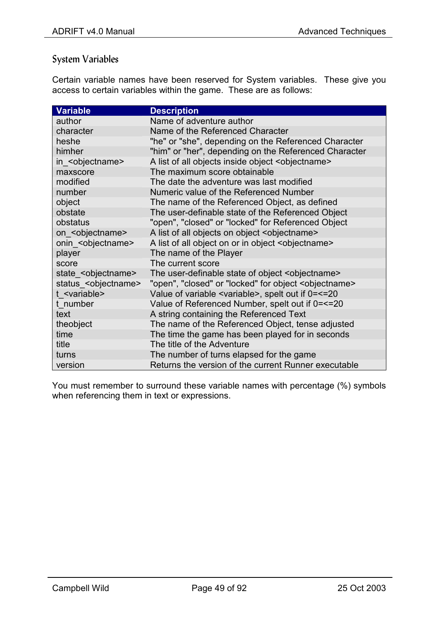## System Variables

Certain variable names have been reserved for System variables. These give you access to certain variables within the game. These are as follows:

| <b>Variable</b>                  | <b>Description</b>                                                |
|----------------------------------|-------------------------------------------------------------------|
| author                           | Name of adventure author                                          |
| character                        | Name of the Referenced Character                                  |
| heshe                            | "he" or "she", depending on the Referenced Character              |
| himher                           | "him" or "her", depending on the Referenced Character             |
| in <objectname></objectname>     | A list of all objects inside object <objectname></objectname>     |
| maxscore                         | The maximum score obtainable                                      |
| modified                         | The date the adventure was last modified                          |
| number                           | Numeric value of the Referenced Number                            |
| object                           | The name of the Referenced Object, as defined                     |
| obstate                          | The user-definable state of the Referenced Object                 |
| obstatus                         | "open", "closed" or "locked" for Referenced Object                |
| on <objectname></objectname>     | A list of all objects on object <objectname></objectname>         |
| onin_ <objectname></objectname>  | A list of all object on or in object <objectname></objectname>    |
| player                           | The name of the Player                                            |
| score                            | The current score                                                 |
| state <objectname></objectname>  | The user-definable state of object <objectname></objectname>      |
| status <objectname></objectname> | "open", "closed" or "locked" for object <objectname></objectname> |
| t <variable></variable>          | Value of variable <variable>, spelt out if 0=&lt;=20</variable>   |
| t number                         | Value of Referenced Number, spelt out if 0=<=20                   |
| text                             | A string containing the Referenced Text                           |
| theobject                        | The name of the Referenced Object, tense adjusted                 |
| time                             | The time the game has been played for in seconds                  |
| title                            | The title of the Adventure                                        |
| turns                            | The number of turns elapsed for the game                          |
| version                          | Returns the version of the current Runner executable              |

You must remember to surround these variable names with percentage (%) symbols when referencing them in text or expressions.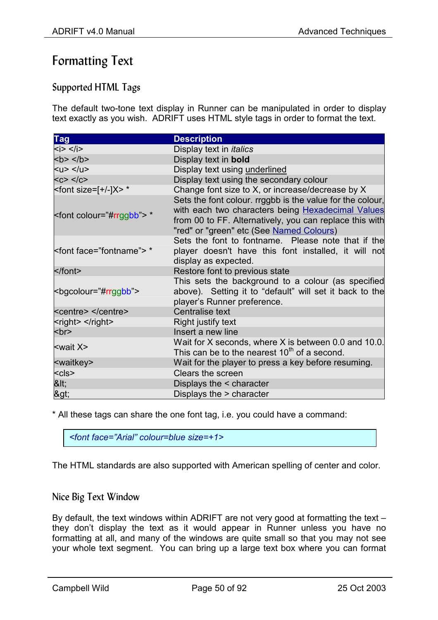# Formatting Text

## Supported HTML Tags

The default two-tone text display in Runner can be manipulated in order to display text exactly as you wish. ADRIFT uses HTML style tags in order to format the text.

| <b>Tag</b>                                | <b>Description</b>                                                                                                                                                                                                           |
|-------------------------------------------|------------------------------------------------------------------------------------------------------------------------------------------------------------------------------------------------------------------------------|
| < i > < i >                               | Display text in <i>italics</i>                                                                                                                                                                                               |
| <br>< /b>                                 | Display text in bold                                                                                                                                                                                                         |
| $u < u$                                   | Display text using underlined                                                                                                                                                                                                |
| $c > /c$                                  | Display text using the secondary colour                                                                                                                                                                                      |
| <font size="[+/-]&lt;math">X&gt; *</font> | Change font size to X, or increase/decrease by X                                                                                                                                                                             |
| <font colour="#rrggbb"> *</font>          | Sets the font colour. rrggbb is the value for the colour,<br>with each two characters being <b>Hexadecimal Values</b><br>from 00 to FF. Alternatively, you can replace this with<br>"red" or "green" etc (See Named Colours) |
| <font face="fontname"> *</font>           | Sets the font to fontname. Please note that if the<br>player doesn't have this font installed, it will not<br>display as expected.                                                                                           |
|                                           | Restore font to previous state                                                                                                                                                                                               |
| <bgcolour="#rrggbb"></bgcolour="#rrggbb"> | This sets the background to a colour (as specified<br>above). Setting it to "default" will set it back to the<br>player's Runner preference.                                                                                 |
| <centre> </centre>                        | <b>Centralise text</b>                                                                                                                                                                                                       |
| <right> </right>                          | Right justify text                                                                                                                                                                                                           |
| <br><b>br</b>                             | Insert a new line                                                                                                                                                                                                            |
| $\leq$ wait $X$                           | Wait for X seconds, where X is between 0.0 and 10.0.<br>This can be to the nearest 10 <sup>th</sup> of a second.                                                                                                             |
| <waitkey></waitkey>                       | Wait for the player to press a key before resuming.                                                                                                                                                                          |
| <cls></cls>                               | Clears the screen                                                                                                                                                                                                            |
| $8$ lt;                                   | Displays the < character                                                                                                                                                                                                     |
| >                                         | Displays the > character                                                                                                                                                                                                     |

\* All these tags can share the one font tag, i.e. you could have a command:

*<font face="Arial" colour=blue size=+1>* 

The HTML standards are also supported with American spelling of center and color.

## Nice Big Text Window

By default, the text windows within ADRIFT are not very good at formatting the text – they don't display the text as it would appear in Runner unless you have no formatting at all, and many of the windows are quite small so that you may not see your whole text segment. You can bring up a large text box where you can format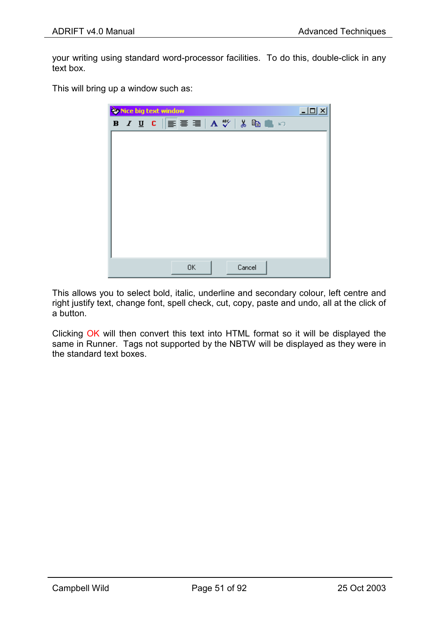your writing using standard word-processor facilities. To do this, double-click in any text box.

This will bring up a window such as:

|  |  | iv Nice big text window |                                  |  |        |  |  | $\Box$ u $\times$ |
|--|--|-------------------------|----------------------------------|--|--------|--|--|-------------------|
|  |  |                         | B / U C   ≣ ≣ ≣   A ♥   ↓ �� ■ ∽ |  |        |  |  |                   |
|  |  |                         |                                  |  |        |  |  |                   |
|  |  |                         |                                  |  |        |  |  |                   |
|  |  |                         |                                  |  |        |  |  |                   |
|  |  |                         |                                  |  |        |  |  |                   |
|  |  |                         |                                  |  |        |  |  |                   |
|  |  |                         |                                  |  |        |  |  |                   |
|  |  |                         |                                  |  |        |  |  |                   |
|  |  |                         |                                  |  |        |  |  |                   |
|  |  |                         |                                  |  |        |  |  |                   |
|  |  |                         |                                  |  |        |  |  |                   |
|  |  |                         |                                  |  |        |  |  |                   |
|  |  |                         | 0K                               |  | Cancel |  |  |                   |

This allows you to select bold, italic, underline and secondary colour, left centre and right justify text, change font, spell check, cut, copy, paste and undo, all at the click of a button.

Clicking OK will then convert this text into HTML format so it will be displayed the same in Runner. Tags not supported by the NBTW will be displayed as they were in the standard text boxes.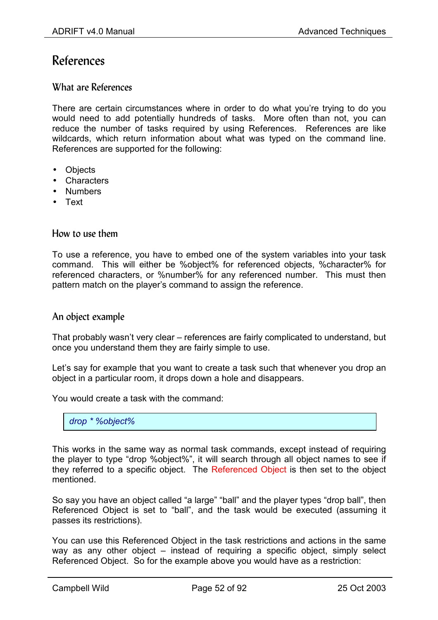## <span id="page-52-0"></span>References

## What are References

There are certain circumstances where in order to do what you're trying to do you would need to add potentially hundreds of tasks. More often than not, you can reduce the number of tasks required by using References. References are like wildcards, which return information about what was typed on the command line. References are supported for the following:

- Objects
- Characters
- Numbers
- Text

#### How to use them

To use a reference, you have to embed one of the system variables into your task command. This will either be %object% for referenced objects, %character% for referenced characters, or %number% for any referenced number. This must then pattern match on the player's command to assign the reference.

### An object example

That probably wasn't very clear – references are fairly complicated to understand, but once you understand them they are fairly simple to use.

Let's say for example that you want to create a task such that whenever you drop an object in a particular room, it drops down a hole and disappears.

You would create a task with the command:

*drop \* %object%* 

This works in the same way as normal task commands, except instead of requiring the player to type "drop %object%", it will search through all object names to see if they referred to a specific object. The Referenced Object is then set to the object mentioned.

So say you have an object called "a large" "ball" and the player types "drop ball", then Referenced Object is set to "ball", and the task would be executed (assuming it passes its restrictions).

You can use this Referenced Object in the task restrictions and actions in the same way as any other object – instead of requiring a specific object, simply select Referenced Object. So for the example above you would have as a restriction: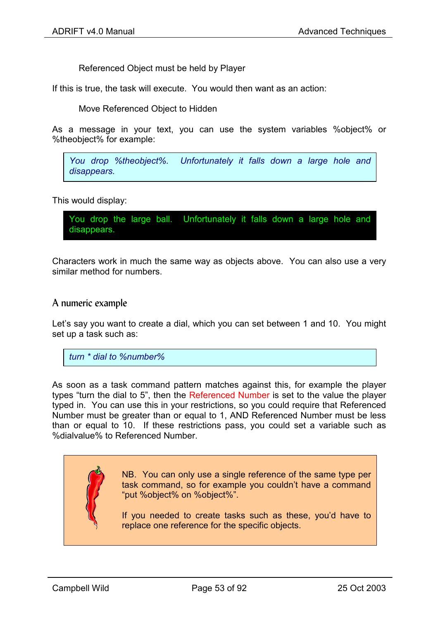Referenced Object must be held by Player

If this is true, the task will execute. You would then want as an action:

Move Referenced Object to Hidden

As a message in your text, you can use the system variables %object% or %theobject% for example:

*You drop %theobject%. Unfortunately it falls down a large hole and disappears.* 

This would display:

You drop the large ball. Unfortunately it falls down a large hole and disappears.

Characters work in much the same way as objects above. You can also use a very similar method for numbers.

### A numeric example

Let's say you want to create a dial, which you can set between 1 and 10. You might set up a task such as:

*turn \* dial to %number%* 

As soon as a task command pattern matches against this, for example the player types "turn the dial to 5", then the Referenced Number is set to the value the player typed in. You can use this in your restrictions, so you could require that Referenced Number must be greater than or equal to 1, AND Referenced Number must be less than or equal to 10. If these restrictions pass, you could set a variable such as %dialvalue% to Referenced Number.



NB. You can only use a single reference of the same type per task command, so for example you couldn't have a command "put %object% on %object%".

If you needed to create tasks such as these, you'd have to replace one reference for the specific objects.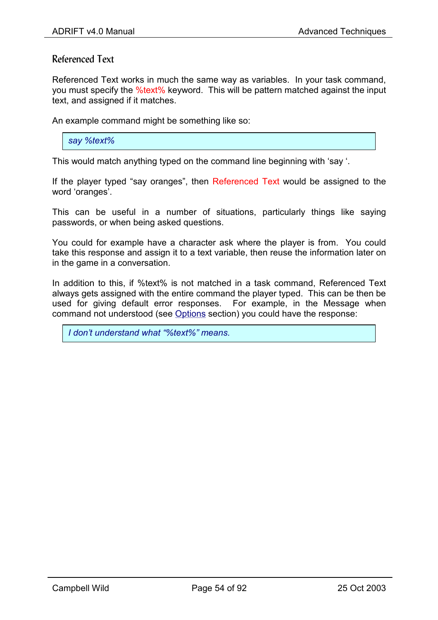## Referenced Text

Referenced Text works in much the same way as variables. In your task command, you must specify the <sup>%</sup>text<sup>%</sup> keyword. This will be pattern matched against the input text, and assigned if it matches.

An example command might be something like so:

*say %text%* 

This would match anything typed on the command line beginning with 'say '.

If the player typed "say oranges", then Referenced Text would be assigned to the word 'oranges'.

This can be useful in a number of situations, particularly things like saying passwords, or when being asked questions.

You could for example have a character ask where the player is from. You could take this response and assign it to a text variable, then reuse the information later on in the game in a conversation.

In addition to this, if %text% is not matched in a task command, Referenced Text always gets assigned with the entire command the player typed. This can be then be used for giving default error responses. For example, in the Message when command not understood (see [Options](#page-35-0) section) you could have the response:

*I don't understand what "%text%" means.*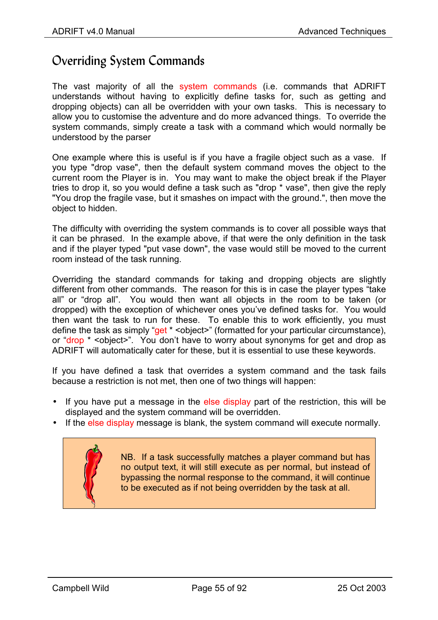# Overriding System Commands

The vast majority of all the system commands (i.e. commands that ADRIFT understands without having to explicitly define tasks for, such as getting and dropping objects) can all be overridden with your own tasks. This is necessary to allow you to customise the adventure and do more advanced things. To override the system commands, simply create a task with a command which would normally be understood by the parser

One example where this is useful is if you have a fragile object such as a vase. If you type "drop vase", then the default system command moves the object to the current room the Player is in. You may want to make the object break if the Player tries to drop it, so you would define a task such as "drop \* vase", then give the reply "You drop the fragile vase, but it smashes on impact with the ground.", then move the object to hidden.

The difficulty with overriding the system commands is to cover all possible ways that it can be phrased. In the example above, if that were the only definition in the task and if the player typed "put vase down", the vase would still be moved to the current room instead of the task running.

Overriding the standard commands for taking and dropping objects are slightly different from other commands. The reason for this is in case the player types "take all" or "drop all". You would then want all objects in the room to be taken (or dropped) with the exception of whichever ones you've defined tasks for. You would then want the task to run for these. To enable this to work efficiently, you must define the task as simply "get \* < object>" (formatted for your particular circumstance), or "drop \* <object>". You don't have to worry about synonyms for get and drop as ADRIFT will automatically cater for these, but it is essential to use these keywords.

If you have defined a task that overrides a system command and the task fails because a restriction is not met, then one of two things will happen:

- If you have put a message in the else display part of the restriction, this will be displayed and the system command will be overridden.
- If the else display message is blank, the system command will execute normally.

NB. If a task successfully matches a player command but has no output text, it will still execute as per normal, but instead of bypassing the normal response to the command, it will continue to be executed as if not being overridden by the task at all.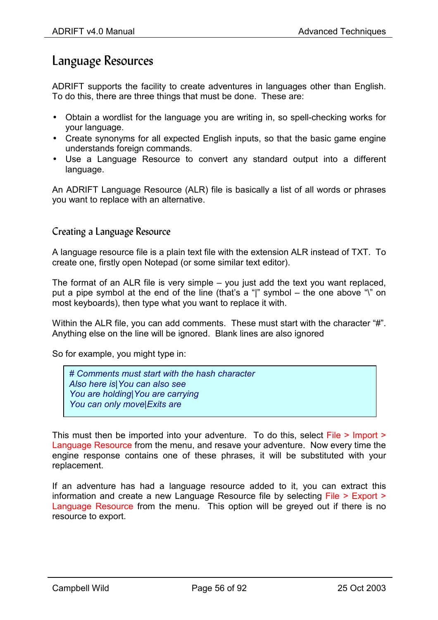# Language Resources

ADRIFT supports the facility to create adventures in languages other than English. To do this, there are three things that must be done. These are:

- Obtain a wordlist for the language you are writing in, so spell-checking works for your language.
- Create synonyms for all expected English inputs, so that the basic game engine understands foreign commands.
- Use a Language Resource to convert any standard output into a different language.

An ADRIFT Language Resource (ALR) file is basically a list of all words or phrases you want to replace with an alternative.

## Creating a Language Resource

A language resource file is a plain text file with the extension ALR instead of TXT. To create one, firstly open Notepad (or some similar text editor).

The format of an ALR file is very simple – you just add the text you want replaced, put a pipe symbol at the end of the line (that's a "|" symbol – the one above "\" on most keyboards), then type what you want to replace it with.

Within the ALR file, you can add comments. These must start with the character "#". Anything else on the line will be ignored. Blank lines are also ignored

So for example, you might type in:

*# Comments must start with the hash character Also here is|You can also see You are holding|You are carrying You can only move|Exits are* 

This must then be imported into your adventure. To do this, select File > Import > Language Resource from the menu, and resave your adventure. Now every time the engine response contains one of these phrases, it will be substituted with your replacement.

If an adventure has had a language resource added to it, you can extract this information and create a new Language Resource file by selecting File > Export > Language Resource from the menu. This option will be greyed out if there is no resource to export.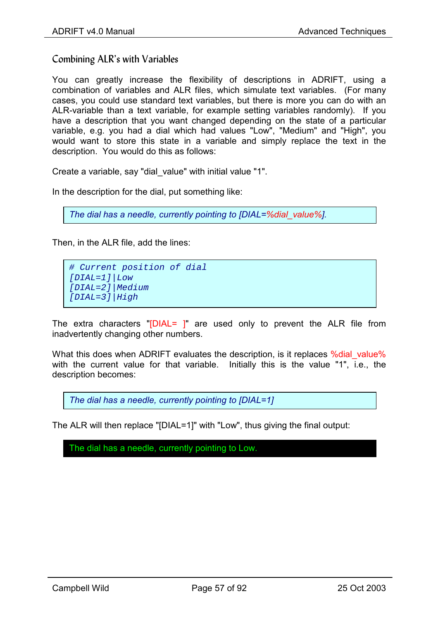## Combining ALR's with Variables

You can greatly increase the flexibility of descriptions in ADRIFT, using a combination of variables and ALR files, which simulate text variables. (For many cases, you could use standard text variables, but there is more you can do with an ALR-variable than a text variable, for example setting variables randomly). If you have a description that you want changed depending on the state of a particular variable, e.g. you had a dial which had values "Low", "Medium" and "High", you would want to store this state in a variable and simply replace the text in the description. You would do this as follows:

Create a variable, say "dial\_value" with initial value "1".

In the description for the dial, put something like:

*The dial has a needle, currently pointing to [DIAL=%dial\_value%].* 

Then, in the ALR file, add the lines:

```
# Current position of dial
[DIAL=1]|Low 
[DIAL=2]|Medium 
[DIAL=3]|High
```
The extra characters "[DIAL= ]" are used only to prevent the ALR file from inadvertently changing other numbers.

What this does when ADRIFT evaluates the description, is it replaces %dial\_value% with the current value for that variable. Initially this is the value "1", i.e., the description becomes:

*The dial has a needle, currently pointing to [DIAL=1]* 

The ALR will then replace "[DIAL=1]" with "Low", thus giving the final output:

The dial has a needle, currently pointing to Low.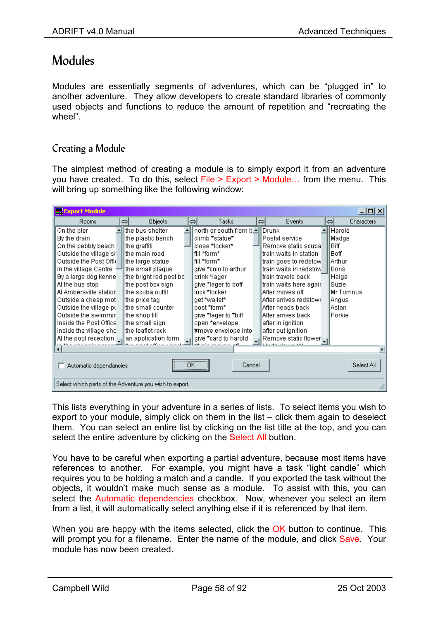# Modules

Modules are essentially segments of adventures, which can be "plugged in" to another adventure. They allow developers to create standard libraries of commonly used objects and functions to reduce the amount of repetition and "recreating the wheel".

## Creating a Module

The simplest method of creating a module is to simply export it from an adventure you have created. To do this, select File > Export > Module… from the menu. This will bring up something like the following window:

| <b>Export Module</b><br>-10                                  |   |                        |  |                              |   |                        |    |                   |
|--------------------------------------------------------------|---|------------------------|--|------------------------------|---|------------------------|----|-------------------|
| <b>Rooms</b>                                                 | ⇔ | <b>Objects</b>         |  | Tasks<br>⇔                   | ⇔ | Events                 | ⇔l | <b>Characters</b> |
| On the pier                                                  |   | lthe bus shelter       |  | north or south from b⊡ Drunk |   |                        |    | Harold            |
| By the drain                                                 |   | the plastic bench.     |  | climb *statue*               |   | Postal service         |    | Madge             |
| On the pebbly beach                                          |   | lthe graffiti          |  | close *locker*               |   | Remove static scubal   |    | <b>Biff</b>       |
| Outside the village sh                                       |   | lthe main road         |  | fill *form*                  |   | train waits in station |    | <b>Boff</b>       |
| Outside the Post Offic                                       |   | the large statue       |  | fill *form*                  |   | train goes to redstow  |    | Arthur            |
| In the village Centre                                        |   | the small plaque       |  | laive *coin to arthur        |   | train waits in redstow |    | <b>Boris</b>      |
| By a large dog kennel                                        |   | the bright red post bc |  | drink *lager                 |   | train travels back     |    | Helga             |
| At the bus stop                                              |   | the post box sign      |  | give *lager to boff          |   | train waits here agair |    | Suzie             |
| At Ambersville statior.                                      |   | the scuba outfit       |  | lock *locker                 |   | After moves off        |    | Mr Tumnus         |
| Outside a cheap mot                                          |   | the price tag          |  | get *wallet*                 |   | After arrives redstown |    | Angus             |
| Outside the village pu                                       |   | lthe small counter.    |  | post *form*                  |   | After heads back.      |    | Aslan             |
| Outside the swimmir                                          |   | the shop till          |  | give *lager to *biff         |   | After arrives back     |    | Porkie            |
| Inside the Post Office                                       |   | the small sign         |  | open *envelope               |   | after in ignition      |    |                   |
| Inside the village sho                                       |   | the leaflet rack       |  | #move envelope into          |   | after out ignition     |    |                   |
| At the pool reception $\Box$                                 |   | an application form    |  | give *card to harold         |   | Remove static flower   |    |                   |
| the star at a completely<br>$\blacksquare$                   |   |                        |  |                              |   |                        |    |                   |
| <br>Select All<br>OΚ<br>Cancel<br>Automatic dependancies<br> |   |                        |  |                              |   |                        |    |                   |
| Select which parts of the Adventure you wish to export.      |   |                        |  |                              |   |                        |    |                   |

This lists everything in your adventure in a series of lists. To select items you wish to export to your module, simply click on them in the list – click them again to deselect them. You can select an entire list by clicking on the list title at the top, and you can select the entire adventure by clicking on the Select All button.

You have to be careful when exporting a partial adventure, because most items have references to another. For example, you might have a task "light candle" which requires you to be holding a match and a candle. If you exported the task without the objects, it wouldn't make much sense as a module. To assist with this, you can select the Automatic dependencies checkbox. Now, whenever you select an item from a list, it will automatically select anything else if it is referenced by that item.

When you are happy with the items selected, click the OK button to continue. This will prompt you for a filename. Enter the name of the module, and click Save. Your module has now been created.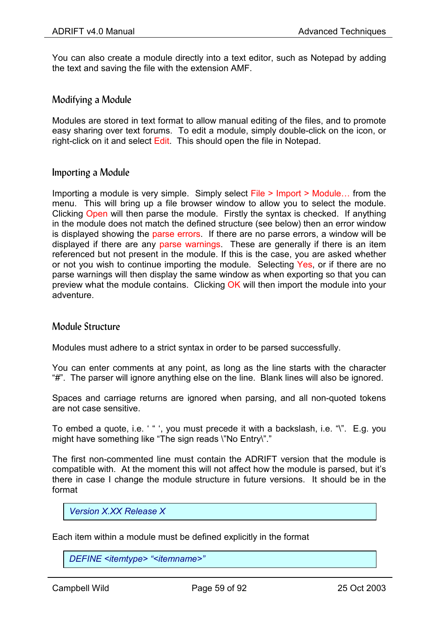You can also create a module directly into a text editor, such as Notepad by adding the text and saving the file with the extension AMF.

## Modifying a Module

Modules are stored in text format to allow manual editing of the files, and to promote easy sharing over text forums. To edit a module, simply double-click on the icon, or right-click on it and select Edit. This should open the file in Notepad.

## Importing a Module

Importing a module is very simple. Simply select File > Import > Module… from the menu. This will bring up a file browser window to allow you to select the module. Clicking Open will then parse the module. Firstly the syntax is checked. If anything in the module does not match the defined structure (see below) then an error window is displayed showing the parse errors. If there are no parse errors, a window will be displayed if there are any parse warnings. These are generally if there is an item referenced but not present in the module. If this is the case, you are asked whether or not you wish to continue importing the module. Selecting Yes, or if there are no parse warnings will then display the same window as when exporting so that you can preview what the module contains. Clicking OK will then import the module into your adventure.

## Module Structure

Modules must adhere to a strict syntax in order to be parsed successfully.

You can enter comments at any point, as long as the line starts with the character "#". The parser will ignore anything else on the line. Blank lines will also be ignored.

Spaces and carriage returns are ignored when parsing, and all non-quoted tokens are not case sensitive.

To embed a quote, i.e. ' " ', you must precede it with a backslash, i.e. "\". E.g. you might have something like "The sign reads \"No Entry\"."

The first non-commented line must contain the ADRIFT version that the module is compatible with. At the moment this will not affect how the module is parsed, but it's there in case I change the module structure in future versions. It should be in the format

*Version X.XX Release X* 

Each item within a module must be defined explicitly in the format

*DEFINE <itemtype> "<itemname>"*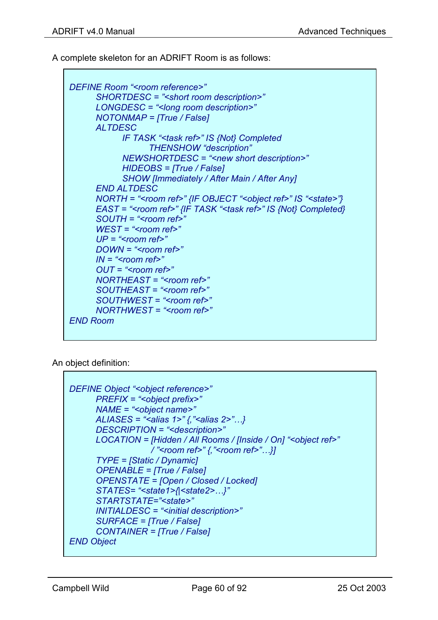A complete skeleton for an ADRIFT Room is as follows:



An object definition:

```
DEFINE Object "<object reference>" 
       PREFIX = "<object prefix>" 
       NAME = "<object name>" 
       ALIASES = "<alias 1>" {,"<alias 2>"…} 
       DESCRIPTION = "<description>" 
       LOCATION = [Hidden / All Rooms / [Inside / On] "<object ref>" 
                     / "<room ref>" {,"<room ref>"…}] 
       TYPE = [Static / Dynamic] 
       OPENABLE = [True / False] 
       OPENSTATE = [Open / Closed / Locked] 
       STATES= "<state1>{|<state2>…}" 
       STARTSTATE="<state>" 
       INITIALDESC = "<initial description>" 
       SURFACE = [True / False] 
       CONTAINER = [True / False] 
END Object
```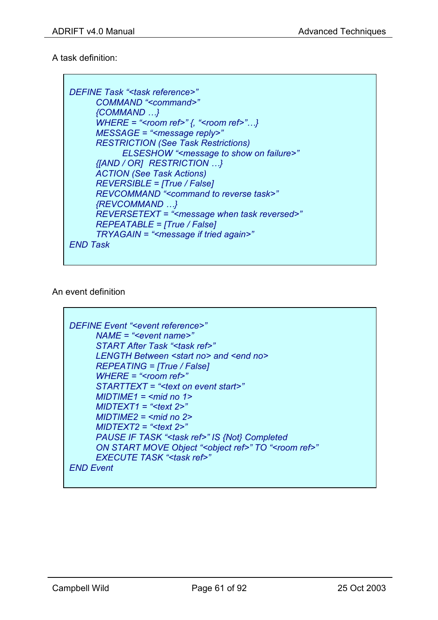## A task definition:



### An event definition

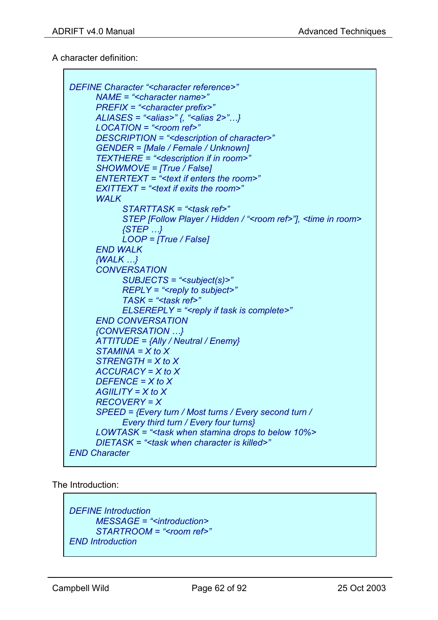## A character definition:

```
DEFINE Character "<character reference>" 
       NAME = "<character name>" 
       PREFIX = "<character prefix>" 
       ALIASES = "<alias>" {, "<alias 2>"…} 
       LOCATION = "<room ref>" 
       DESCRIPTION = "<description of character>" 
       GENDER = [Male / Female / Unknown] 
       TEXTHERE = "<description if in room>" 
       SHOWMOVE = [True / False] 
       ENTERTEXT = "<text if enters the room>" 
       EXITTEXT = "<text if exits the room>" 
       WALK 
              STARTTASK = "<task ref>" 
              STEP [Follow Player / Hidden / "<room ref>"], <time in room> 
              {STEP …} 
              LOOP = [True / False] 
       END WALK 
       {WALK …} 
       CONVERSATION 
              SUBJECTS = "<subject(s)>" 
              REPLY = "<reply to subject>" 
              TASK = "<task ref>" 
              ELSEREPLY = "<reply if task is complete>" 
       END CONVERSATION 
       {CONVERSATION …} 
       ATTITUDE = {Ally / Neutral / Enemy} 
       STAMINA = X to X 
       STRENGTH = X to X 
       ACCURACY = X to X 
       DEFENCE = X to X 
       AGIILITY = X to X 
       RECOVERY = X 
       SPEED = {Every turn / Most turns / Every second turn / 
              Every third turn / Every four turns} 
       LOWTASK = "<task when stamina drops to below 10%> 
       DIETASK = "<task when character is killed>" 
END Character
```
The Introduction:

*DEFINE Introduction MESSAGE = "<introduction> STARTROOM = "<room ref>" END Introduction*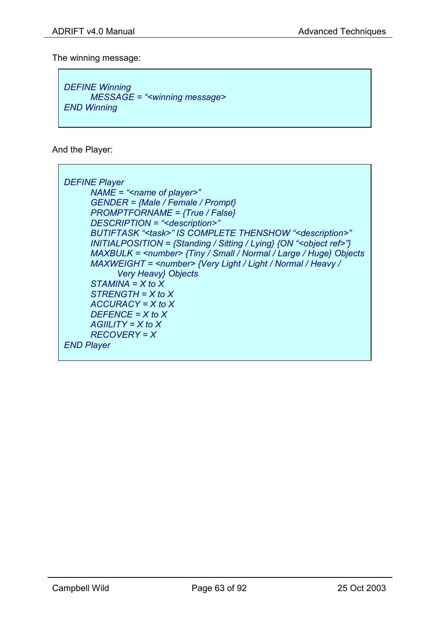The winning message:

*DEFINE Winning MESSAGE = "<winning message> END Winning* 

And the Player:

*DEFINE Player NAME = "<name of player>" GENDER = {Male / Female / Prompt} PROMPTFORNAME = {True / False} DESCRIPTION = "<description>" BUTIFTASK "<task>" IS COMPLETE THENSHOW "<description>" INITIALPOSITION = {Standing / Sitting / Lying} {ON "<object ref>"} MAXBULK = <number> {Tiny / Small / Normal / Large / Huge} Objects MAXWEIGHT = <number> {Very Light / Light / Normal / Heavy / Very Heavy} Objects STAMINA = X to X STRENGTH = X to X ACCURACY = X to X DEFENCE = X to X AGIILITY = X to X RECOVERY = X END Player*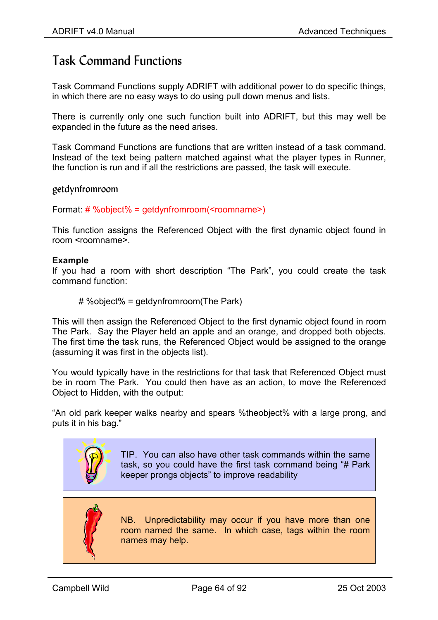# Task Command Functions

Task Command Functions supply ADRIFT with additional power to do specific things, in which there are no easy ways to do using pull down menus and lists.

There is currently only one such function built into ADRIFT, but this may well be expanded in the future as the need arises.

Task Command Functions are functions that are written instead of a task command. Instead of the text being pattern matched against what the player types in Runner, the function is run and if all the restrictions are passed, the task will execute.

getdynfromroom

Format: # %object% = getdynfromroom(<roomname>)

This function assigns the Referenced Object with the first dynamic object found in room <roomname>.

#### **Example**

If you had a room with short description "The Park", you could create the task command function:

# %object% = getdynfromroom(The Park)

This will then assign the Referenced Object to the first dynamic object found in room The Park. Say the Player held an apple and an orange, and dropped both objects. The first time the task runs, the Referenced Object would be assigned to the orange (assuming it was first in the objects list).

You would typically have in the restrictions for that task that Referenced Object must be in room The Park. You could then have as an action, to move the Referenced Object to Hidden, with the output:

"An old park keeper walks nearby and spears %theobject% with a large prong, and puts it in his bag."

> TIP. You can also have other task commands within the same task, so you could have the first task command being "# Park keeper prongs objects" to improve readability



NB. Unpredictability may occur if you have more than one room named the same. In which case, tags within the room names may help.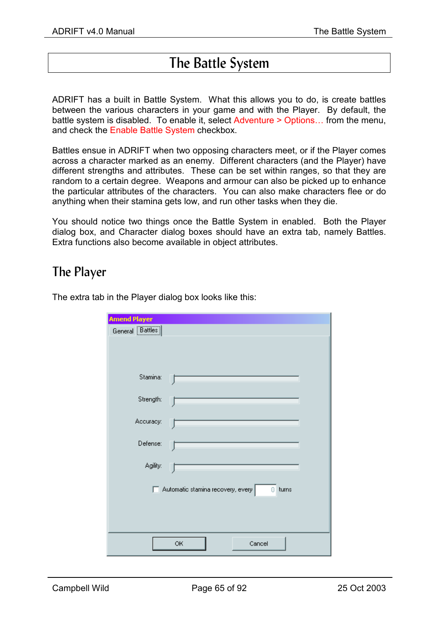# The Battle System

ADRIFT has a built in Battle System. What this allows you to do, is create battles between the various characters in your game and with the Player. By default, the battle system is disabled. To enable it, select Adventure > Options… from the menu, and check the Enable Battle System checkbox.

Battles ensue in ADRIFT when two opposing characters meet, or if the Player comes across a character marked as an enemy. Different characters (and the Player) have different strengths and attributes. These can be set within ranges, so that they are random to a certain degree. Weapons and armour can also be picked up to enhance the particular attributes of the characters. You can also make characters flee or do anything when their stamina gets low, and run other tasks when they die.

You should notice two things once the Battle System in enabled. Both the Player dialog box, and Character dialog boxes should have an extra tab, namely Battles. Extra functions also become available in object attributes.

## The Player

| <b>Amend Player</b>                       |
|-------------------------------------------|
| General <b>Battles</b>                    |
|                                           |
|                                           |
|                                           |
| Stamina:                                  |
|                                           |
| Strength:                                 |
|                                           |
| Accuracy:                                 |
|                                           |
| Defense:                                  |
| Agility:                                  |
|                                           |
|                                           |
| Automatic stamina recovery, every 0 turns |
|                                           |
|                                           |
|                                           |
| <b>OK</b><br>Cancel                       |
|                                           |

The extra tab in the Player dialog box looks like this: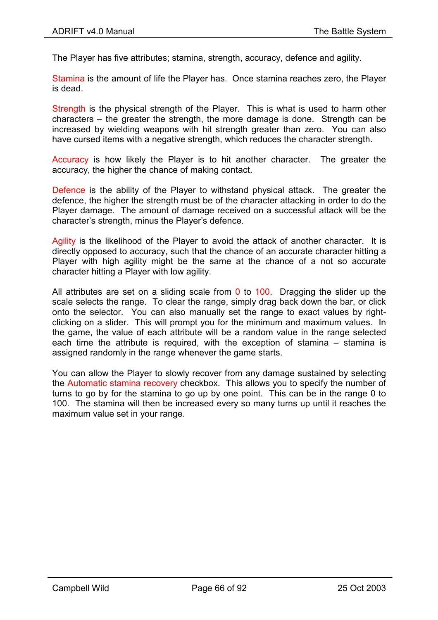The Player has five attributes; stamina, strength, accuracy, defence and agility.

Stamina is the amount of life the Player has. Once stamina reaches zero, the Player is dead.

Strength is the physical strength of the Player. This is what is used to harm other characters – the greater the strength, the more damage is done. Strength can be increased by wielding weapons with hit strength greater than zero. You can also have cursed items with a negative strength, which reduces the character strength.

Accuracy is how likely the Player is to hit another character. The greater the accuracy, the higher the chance of making contact.

Defence is the ability of the Player to withstand physical attack. The greater the defence, the higher the strength must be of the character attacking in order to do the Player damage. The amount of damage received on a successful attack will be the character's strength, minus the Player's defence.

Agility is the likelihood of the Player to avoid the attack of another character. It is directly opposed to accuracy, such that the chance of an accurate character hitting a Player with high agility might be the same at the chance of a not so accurate character hitting a Player with low agility.

All attributes are set on a sliding scale from  $0$  to  $100$ . Dragging the slider up the scale selects the range. To clear the range, simply drag back down the bar, or click onto the selector. You can also manually set the range to exact values by rightclicking on a slider. This will prompt you for the minimum and maximum values. In the game, the value of each attribute will be a random value in the range selected each time the attribute is required, with the exception of stamina – stamina is assigned randomly in the range whenever the game starts.

You can allow the Player to slowly recover from any damage sustained by selecting the Automatic stamina recovery checkbox. This allows you to specify the number of turns to go by for the stamina to go up by one point. This can be in the range 0 to 100. The stamina will then be increased every so many turns up until it reaches the maximum value set in your range.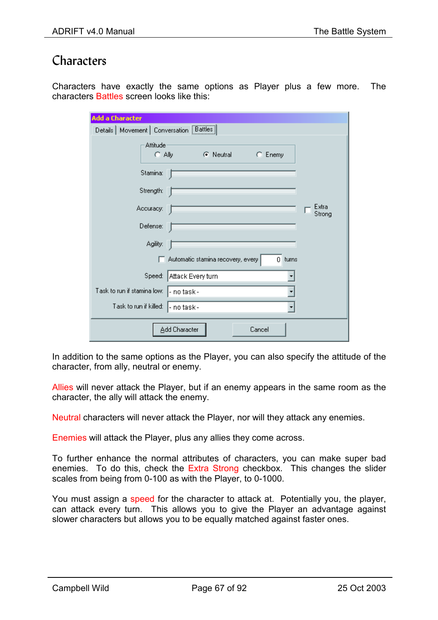# **Characters**

Characters have exactly the same options as Player plus a few more. The characters Battles screen looks like this:

| <b>Add a Character</b>                                 |  |  |  |  |  |  |  |
|--------------------------------------------------------|--|--|--|--|--|--|--|
| Details   Movement   Conversation   Battles            |  |  |  |  |  |  |  |
| Attitude<br>C Neutral<br>C Ally<br>$C$ Enemy           |  |  |  |  |  |  |  |
| Stamina:                                               |  |  |  |  |  |  |  |
| Strength:                                              |  |  |  |  |  |  |  |
| Extra<br>Accuracy:<br>Strong                           |  |  |  |  |  |  |  |
| Defense:                                               |  |  |  |  |  |  |  |
| Agility:                                               |  |  |  |  |  |  |  |
| Automatic stamina recovery, every<br>$\Omega$<br>turns |  |  |  |  |  |  |  |
| Attack Every turn<br>Speed:                            |  |  |  |  |  |  |  |
| Task to run if stamina low:  - no task -               |  |  |  |  |  |  |  |
| Task to run if killed:<br>- no task-                   |  |  |  |  |  |  |  |
| Add Character<br>Cancel                                |  |  |  |  |  |  |  |

In addition to the same options as the Player, you can also specify the attitude of the character, from ally, neutral or enemy.

Allies will never attack the Player, but if an enemy appears in the same room as the character, the ally will attack the enemy.

Neutral characters will never attack the Player, nor will they attack any enemies.

Enemies will attack the Player, plus any allies they come across.

To further enhance the normal attributes of characters, you can make super bad enemies. To do this, check the Extra Strong checkbox. This changes the slider scales from being from 0-100 as with the Player, to 0-1000.

You must assign a speed for the character to attack at. Potentially you, the player, can attack every turn. This allows you to give the Player an advantage against slower characters but allows you to be equally matched against faster ones.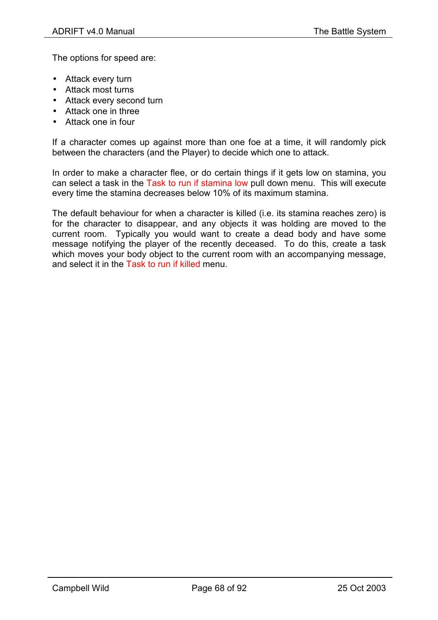The options for speed are:

- Attack every turn
- Attack most turns
- Attack every second turn
- Attack one in three
- Attack one in four

If a character comes up against more than one foe at a time, it will randomly pick between the characters (and the Player) to decide which one to attack.

In order to make a character flee, or do certain things if it gets low on stamina, you can select a task in the Task to run if stamina low pull down menu. This will execute every time the stamina decreases below 10% of its maximum stamina.

The default behaviour for when a character is killed (i.e. its stamina reaches zero) is for the character to disappear, and any objects it was holding are moved to the current room. Typically you would want to create a dead body and have some message notifying the player of the recently deceased. To do this, create a task which moves your body object to the current room with an accompanying message, and select it in the Task to run if killed menu.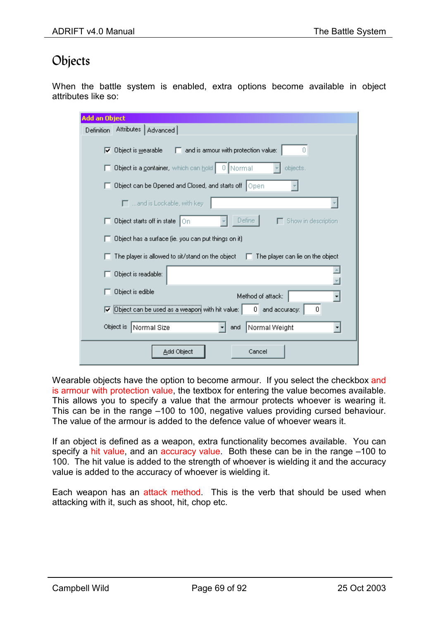# Objects

When the battle system is enabled, extra options become available in object attributes like so:

| <b>Add an Object</b> |                                                                                        |  |  |  |  |  |
|----------------------|----------------------------------------------------------------------------------------|--|--|--|--|--|
| Definition           | Attributes   Advanced                                                                  |  |  |  |  |  |
| ↜                    | and is armour with protection value:<br>Object is wearable<br>0                        |  |  |  |  |  |
|                      | Object is a container, which can hold   0    Normal<br>objects.                        |  |  |  |  |  |
|                      | Object can be Opened and Closed, and starts off   Open                                 |  |  |  |  |  |
|                      | $\Box$ and is Lockable, with key                                                       |  |  |  |  |  |
|                      | Define  <br>Object starts off in state On<br>Show in description                       |  |  |  |  |  |
|                      | Object has a surface fie, you can put things on it)                                    |  |  |  |  |  |
|                      | The player is allowed to sit/stand on the object<br>The player can lie on the object   |  |  |  |  |  |
|                      | Object is readable:                                                                    |  |  |  |  |  |
|                      | Object is edible<br>Method of attack:<br>▼                                             |  |  |  |  |  |
|                      | $\triangledown$ Object can be used as a weapon with hit value:<br>0 and accuracy:<br>0 |  |  |  |  |  |
|                      | Normal Weight<br>Object is<br>Normal Size<br>and                                       |  |  |  |  |  |
|                      | Add Object<br>Cancel                                                                   |  |  |  |  |  |

Wearable objects have the option to become armour. If you select the checkbox and is armour with protection value, the textbox for entering the value becomes available. This allows you to specify a value that the armour protects whoever is wearing it. This can be in the range –100 to 100, negative values providing cursed behaviour. The value of the armour is added to the defence value of whoever wears it.

If an object is defined as a weapon, extra functionality becomes available. You can specify a hit value, and an accuracy value. Both these can be in the range –100 to 100. The hit value is added to the strength of whoever is wielding it and the accuracy value is added to the accuracy of whoever is wielding it.

Each weapon has an attack method. This is the verb that should be used when attacking with it, such as shoot, hit, chop etc.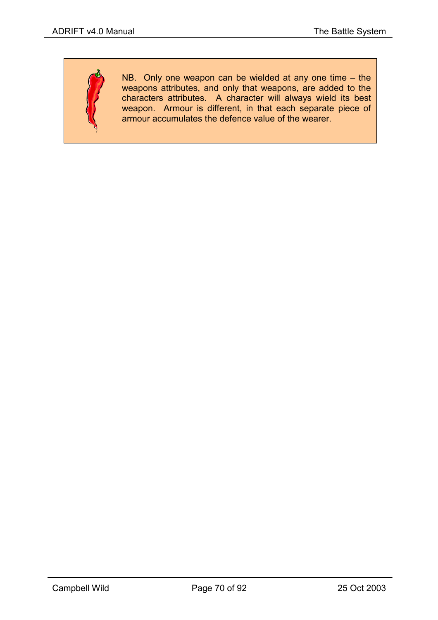NB. Only one weapon can be wielded at any one time – the weapons attributes, and only that weapons, are added to the characters attributes. A character will always wield its best weapon. Armour is different, in that each separate piece of armour accumulates the defence value of the wearer.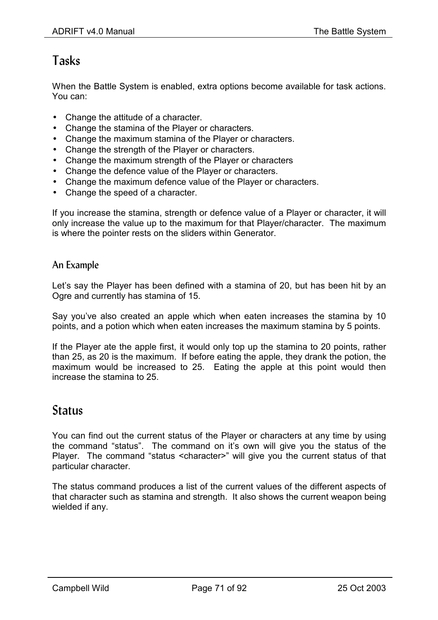# Tasks

When the Battle System is enabled, extra options become available for task actions. You can:

- Change the attitude of a character.
- Change the stamina of the Player or characters.
- Change the maximum stamina of the Player or characters.
- Change the strength of the Player or characters.
- Change the maximum strength of the Player or characters
- Change the defence value of the Player or characters.
- Change the maximum defence value of the Player or characters.
- Change the speed of a character.

If you increase the stamina, strength or defence value of a Player or character, it will only increase the value up to the maximum for that Player/character. The maximum is where the pointer rests on the sliders within Generator.

## An Example

Let's say the Player has been defined with a stamina of 20, but has been hit by an Ogre and currently has stamina of 15.

Say you've also created an apple which when eaten increases the stamina by 10 points, and a potion which when eaten increases the maximum stamina by 5 points.

If the Player ate the apple first, it would only top up the stamina to 20 points, rather than 25, as 20 is the maximum. If before eating the apple, they drank the potion, the maximum would be increased to 25. Eating the apple at this point would then increase the stamina to 25.

# Status

You can find out the current status of the Player or characters at any time by using the command "status". The command on it's own will give you the status of the Player. The command "status <character>" will give you the current status of that particular character.

The status command produces a list of the current values of the different aspects of that character such as stamina and strength. It also shows the current weapon being wielded if any.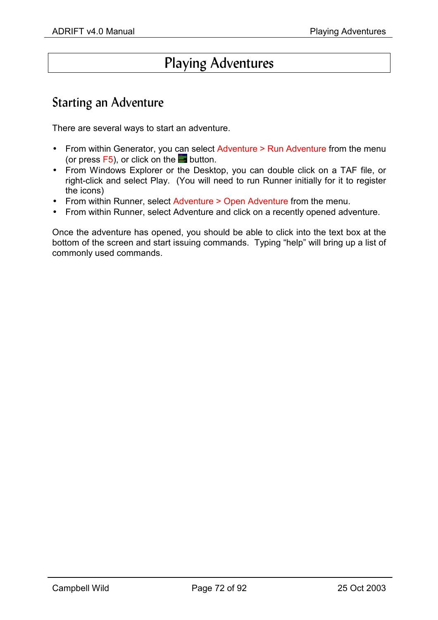# Playing Adventures

# Starting an Adventure

There are several ways to start an adventure.

- From within Generator, you can select Adventure > Run Adventure from the menu (or press  $F5$ ), or click on the **button**.
- From Windows Explorer or the Desktop, you can double click on a TAF file, or right-click and select Play. (You will need to run Runner initially for it to register the icons)
- From within Runner, select Adventure > Open Adventure from the menu.
- From within Runner, select Adventure and click on a recently opened adventure.

Once the adventure has opened, you should be able to click into the text box at the bottom of the screen and start issuing commands. Typing "help" will bring up a list of commonly used commands.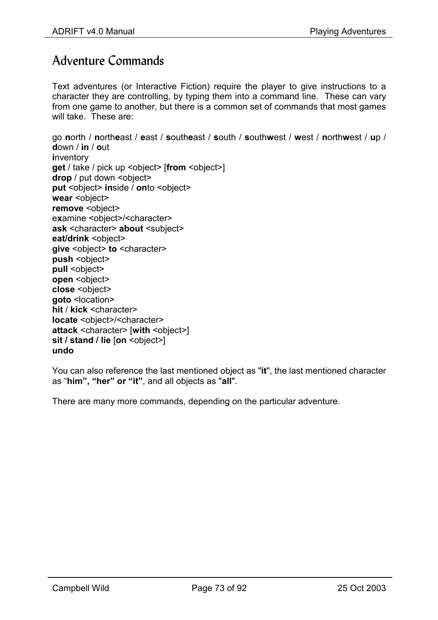# Adventure Commands

Text adventures (or Interactive Fiction) require the player to give instructions to a character they are controlling, by typing them into a command line. These can vary from one game to another, but there is a common set of commands that most games will take. These are:

go **n**orth / **n**orth**e**ast / **e**ast / **s**outh**e**ast / **s**outh / **s**outh**w**est / **w**est / **n**orth**w**est / **u**p / **d**own / **in** / **o**ut **i**nventory **get** / take / pick up <object> [**from** <object>] drop / put down <object> **put** <object> **in**side / **on**to <object> wear <object> remove <object> e**x**amine <object>/<character> **ask** <character> **about** <subject> **eat/drink** <object> **give** <object> **to** <character> **push** <object> **pull** <object> **open** <object> **close** <object> **goto** <location> **hit** / **kick** <character> **locate** <object>/<character> **attack** <character> [**with** <object>] **sit / stand / lie** [**on** <object>]

**undo** 

You can also reference the last mentioned object as "**it**", the last mentioned character as "**him", "her" or "it"**, and all objects as "**all**".

There are many more commands, depending on the particular adventure.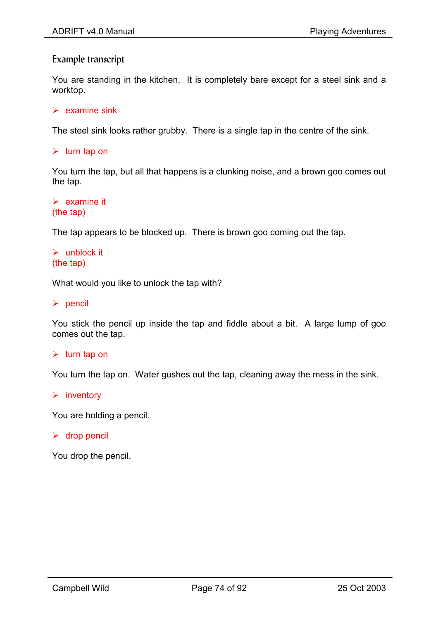## Example transcript

You are standing in the kitchen. It is completely bare except for a steel sink and a worktop.

 $\triangleright$  examine sink

The steel sink looks rather grubby. There is a single tap in the centre of the sink.

 $\triangleright$  turn tap on

You turn the tap, but all that happens is a clunking noise, and a brown goo comes out the tap.

```
\triangleright examine it
(the tap)
```
The tap appears to be blocked up. There is brown goo coming out the tap.

 $\triangleright$  unblock it (the tap)

What would you like to unlock the tap with?

 $\triangleright$  pencil

You stick the pencil up inside the tap and fiddle about a bit. A large lump of goo comes out the tap.

#### $\triangleright$  turn tap on

You turn the tap on. Water gushes out the tap, cleaning away the mess in the sink.

#### $\triangleright$  inventory

You are holding a pencil.

#### $\triangleright$  drop pencil

You drop the pencil.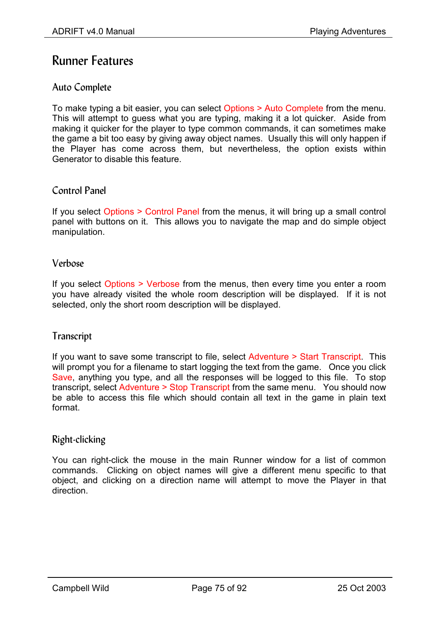## Runner Features

## Auto Complete

To make typing a bit easier, you can select Options > Auto Complete from the menu. This will attempt to guess what you are typing, making it a lot quicker. Aside from making it quicker for the player to type common commands, it can sometimes make the game a bit too easy by giving away object names. Usually this will only happen if the Player has come across them, but nevertheless, the option exists within Generator to disable this feature.

## Control Panel

If you select Options > Control Panel from the menus, it will bring up a small control panel with buttons on it. This allows you to navigate the map and do simple object manipulation.

## Verbose

If you select Options > Verbose from the menus, then every time you enter a room you have already visited the whole room description will be displayed. If it is not selected, only the short room description will be displayed.

## **Transcript**

If you want to save some transcript to file, select Adventure > Start Transcript. This will prompt you for a filename to start logging the text from the game. Once you click Save, anything you type, and all the responses will be logged to this file. To stop transcript, select Adventure > Stop Transcript from the same menu. You should now be able to access this file which should contain all text in the game in plain text format.

## Right-clicking

You can right-click the mouse in the main Runner window for a list of common commands. Clicking on object names will give a different menu specific to that object, and clicking on a direction name will attempt to move the Player in that direction.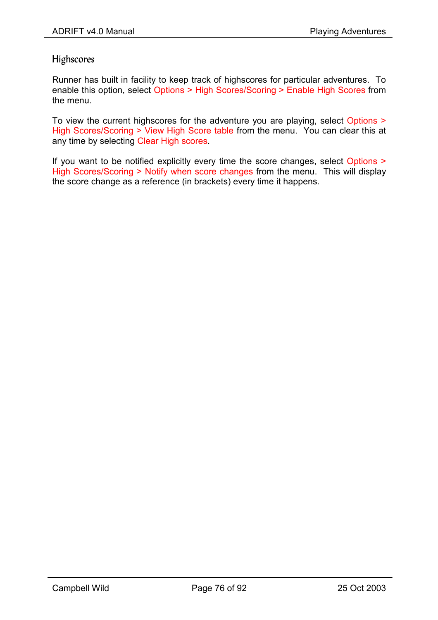## Highscores

Runner has built in facility to keep track of highscores for particular adventures. To enable this option, select Options > High Scores/Scoring > Enable High Scores from the menu.

To view the current highscores for the adventure you are playing, select Options > High Scores/Scoring > View High Score table from the menu. You can clear this at any time by selecting Clear High scores.

If you want to be notified explicitly every time the score changes, select Options > High Scores/Scoring > Notify when score changes from the menu. This will display the score change as a reference (in brackets) every time it happens.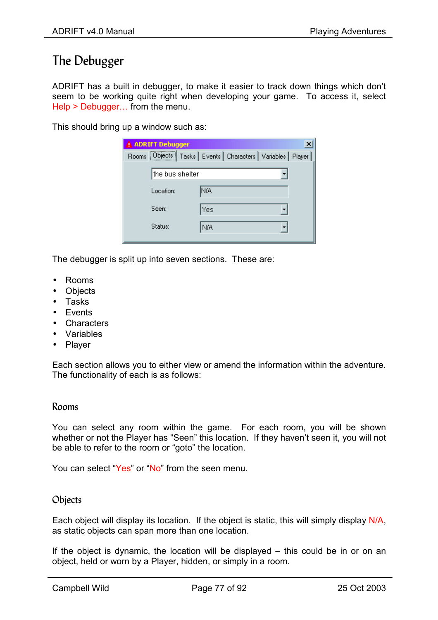# The Debugger

ADRIFT has a built in debugger, to make it easier to track down things which don't seem to be working quite right when developing your game. To access it, select Help > Debugger… from the menu.

This should bring up a window such as:

| ADRIFT Debugger | ×                                                                |
|-----------------|------------------------------------------------------------------|
|                 | Rooms [Objects] Tasks   Events   Characters   Variables   Player |
| the bus shelter |                                                                  |
| Location:       | N/A                                                              |
| Seen:           | Yes                                                              |
| Status:         | N/A                                                              |
|                 |                                                                  |

The debugger is split up into seven sections. These are:

- Rooms
- **Objects**
- Tasks
- Events
- **Characters**
- Variables
- Player

Each section allows you to either view or amend the information within the adventure. The functionality of each is as follows:

#### Rooms

You can select any room within the game. For each room, you will be shown whether or not the Player has "Seen" this location. If they haven't seen it, you will not be able to refer to the room or "goto" the location.

You can select "Yes" or "No" from the seen menu.

## **Objects**

Each object will display its location. If the object is static, this will simply display N/A, as static objects can span more than one location.

If the object is dynamic, the location will be displayed – this could be in or on an object, held or worn by a Player, hidden, or simply in a room.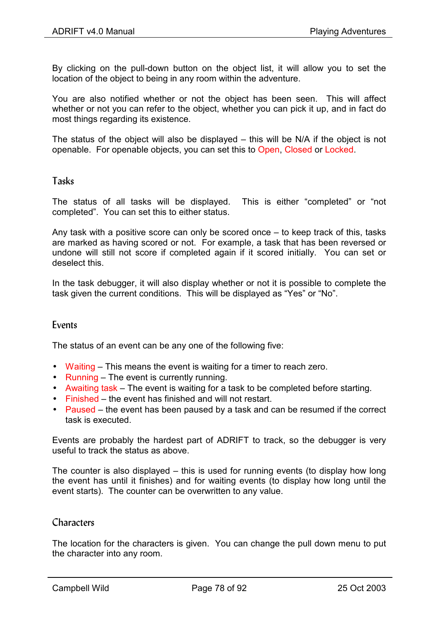By clicking on the pull-down button on the object list, it will allow you to set the location of the object to being in any room within the adventure.

You are also notified whether or not the object has been seen. This will affect whether or not you can refer to the object, whether you can pick it up, and in fact do most things regarding its existence.

The status of the object will also be displayed – this will be N/A if the object is not openable. For openable objects, you can set this to Open, Closed or Locked.

## Tasks

The status of all tasks will be displayed. This is either "completed" or "not completed". You can set this to either status.

Any task with a positive score can only be scored once – to keep track of this, tasks are marked as having scored or not. For example, a task that has been reversed or undone will still not score if completed again if it scored initially. You can set or deselect this.

In the task debugger, it will also display whether or not it is possible to complete the task given the current conditions. This will be displayed as "Yes" or "No".

#### Events

The status of an event can be any one of the following five:

- Waiting This means the event is waiting for a timer to reach zero.
- Running The event is currently running.
- Awaiting task The event is waiting for a task to be completed before starting.
- Finished the event has finished and will not restart.
- Paused the event has been paused by a task and can be resumed if the correct task is executed.

Events are probably the hardest part of ADRIFT to track, so the debugger is very useful to track the status as above.

The counter is also displayed – this is used for running events (to display how long the event has until it finishes) and for waiting events (to display how long until the event starts). The counter can be overwritten to any value.

#### **Characters**

The location for the characters is given. You can change the pull down menu to put the character into any room.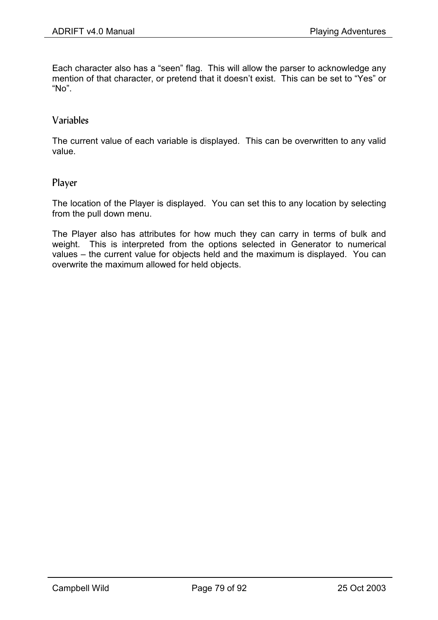Each character also has a "seen" flag. This will allow the parser to acknowledge any mention of that character, or pretend that it doesn't exist. This can be set to "Yes" or "No".

## Variables

The current value of each variable is displayed. This can be overwritten to any valid value.

#### Player

The location of the Player is displayed. You can set this to any location by selecting from the pull down menu.

The Player also has attributes for how much they can carry in terms of bulk and weight. This is interpreted from the options selected in Generator to numerical values – the current value for objects held and the maximum is displayed. You can overwrite the maximum allowed for held objects.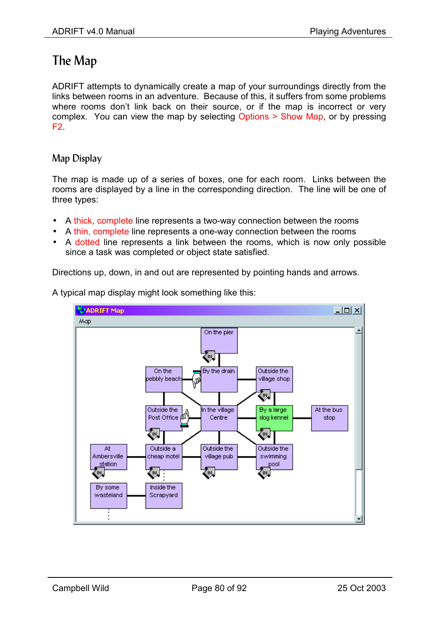# The Map

ADRIFT attempts to dynamically create a map of your surroundings directly from the links between rooms in an adventure. Because of this, it suffers from some problems where rooms don't link back on their source, or if the map is incorrect or very complex. You can view the map by selecting Options > Show Map, or by pressing F2.

## Map Display

The map is made up of a series of boxes, one for each room. Links between the rooms are displayed by a line in the corresponding direction. The line will be one of three types:

- A thick, complete line represents a two-way connection between the rooms
- A thin, complete line represents a one-way connection between the rooms
- A dotted line represents a link between the rooms, which is now only possible since a task was completed or object state satisfied.

Directions up, down, in and out are represented by pointing hands and arrows.



A typical map display might look something like this: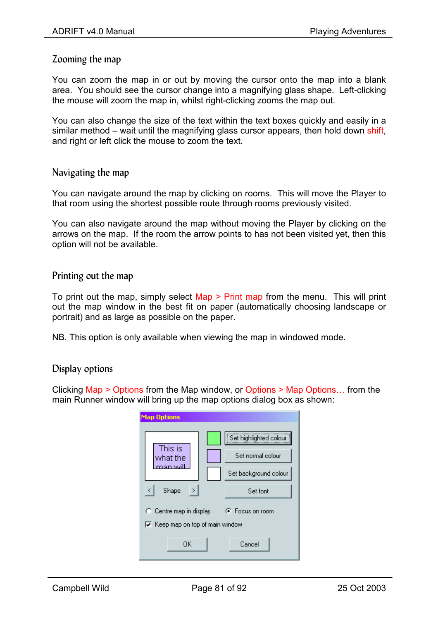## Zooming the map

You can zoom the map in or out by moving the cursor onto the map into a blank area. You should see the cursor change into a magnifying glass shape. Left-clicking the mouse will zoom the map in, whilst right-clicking zooms the map out.

You can also change the size of the text within the text boxes quickly and easily in a similar method – wait until the magnifying glass cursor appears, then hold down shift, and right or left click the mouse to zoom the text.

#### Navigating the map

You can navigate around the map by clicking on rooms. This will move the Player to that room using the shortest possible route through rooms previously visited.

You can also navigate around the map without moving the Player by clicking on the arrows on the map. If the room the arrow points to has not been visited yet, then this option will not be available.

## Printing out the map

To print out the map, simply select  $Map$  > Print map from the menu. This will print out the map window in the best fit on paper (automatically choosing landscape or portrait) and as large as possible on the paper.

NB. This option is only available when viewing the map in windowed mode.

#### Display options

Clicking Map > Options from the Map window, or Options > Map Options… from the main Runner window will bring up the map options dialog box as shown:

| <b>Map Options</b>                                                                                   |                                                                      |  |  |  |  |  |  |  |  |
|------------------------------------------------------------------------------------------------------|----------------------------------------------------------------------|--|--|--|--|--|--|--|--|
| This is<br>what the<br>man will                                                                      | Set highlighted colour<br>Set normal colour<br>Set background colour |  |  |  |  |  |  |  |  |
| Shape<br>$\geq$                                                                                      | Set font                                                             |  |  |  |  |  |  |  |  |
| $\bigcap$ Centre map in display<br>← Focus on room<br>$\triangledown$ Keep map on top of main window |                                                                      |  |  |  |  |  |  |  |  |
| OΚ                                                                                                   | Cancel                                                               |  |  |  |  |  |  |  |  |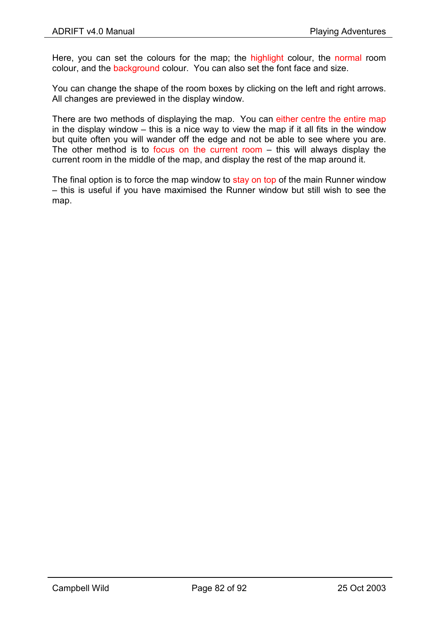Here, you can set the colours for the map; the highlight colour, the normal room colour, and the background colour. You can also set the font face and size.

You can change the shape of the room boxes by clicking on the left and right arrows. All changes are previewed in the display window.

There are two methods of displaying the map. You can either centre the entire map in the display window – this is a nice way to view the map if it all fits in the window but quite often you will wander off the edge and not be able to see where you are. The other method is to focus on the current room  $-$  this will always display the current room in the middle of the map, and display the rest of the map around it.

The final option is to force the map window to stay on top of the main Runner window – this is useful if you have maximised the Runner window but still wish to see the map.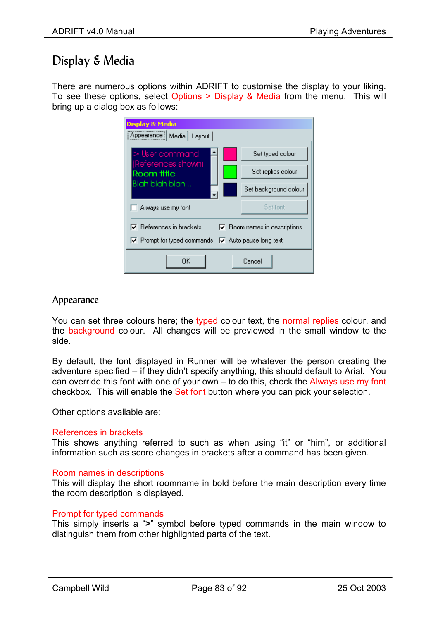# Display & Media

There are numerous options within ADRIFT to customise the display to your liking. To see these options, select Options > Display & Media from the menu. This will bring up a dialog box as follows:

| Display & Media                                                                                      |                                        |  |  |  |  |  |  |  |  |  |
|------------------------------------------------------------------------------------------------------|----------------------------------------|--|--|--|--|--|--|--|--|--|
| Appearance   Media   Layout                                                                          |                                        |  |  |  |  |  |  |  |  |  |
| $>$ User command<br>(References shown)<br>Room title                                                 | Set typed colour<br>Set replies colour |  |  |  |  |  |  |  |  |  |
| Blah blah blah                                                                                       | Set background colour                  |  |  |  |  |  |  |  |  |  |
| Always use my font                                                                                   | Set font                               |  |  |  |  |  |  |  |  |  |
| $\overline{\mathsf{v}}$ References in brackets<br>$\nabla$ Room names in descriptions                |                                        |  |  |  |  |  |  |  |  |  |
| $\overline{\triangledown}$ Prompt for typed commands $\overline{\triangledown}$ Auto pause long text |                                        |  |  |  |  |  |  |  |  |  |
| ΩK                                                                                                   | Cancel                                 |  |  |  |  |  |  |  |  |  |

## Appearance

You can set three colours here; the typed colour text, the normal replies colour, and the background colour. All changes will be previewed in the small window to the side.

By default, the font displayed in Runner will be whatever the person creating the adventure specified – if they didn't specify anything, this should default to Arial. You can override this font with one of your own  $-$  to do this, check the Always use my font checkbox. This will enable the Set font button where you can pick your selection.

Other options available are:

#### References in brackets

This shows anything referred to such as when using "it" or "him", or additional information such as score changes in brackets after a command has been given.

#### Room names in descriptions

This will display the short roomname in bold before the main description every time the room description is displayed.

#### Prompt for typed commands

This simply inserts a "**>**" symbol before typed commands in the main window to distinguish them from other highlighted parts of the text.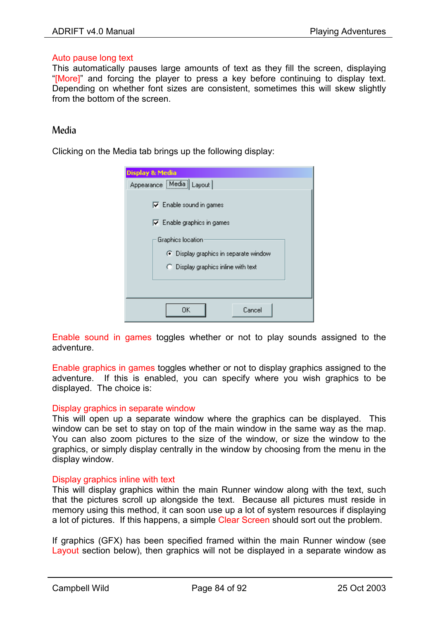#### Auto pause long text

This automatically pauses large amounts of text as they fill the screen, displaying "[More]" and forcing the player to press a key before continuing to display text. Depending on whether font sizes are consistent, sometimes this will skew slightly from the bottom of the screen.

#### Media

Clicking on the Media tab brings up the following display:

| <b>Display &amp; Media</b>                                                     |  |  |  |  |  |  |  |  |  |
|--------------------------------------------------------------------------------|--|--|--|--|--|--|--|--|--|
| Appearance [Media] Layout]                                                     |  |  |  |  |  |  |  |  |  |
| <b>▽</b> Enable sound in games<br>$\overline{\nabla}$ Enable graphics in games |  |  |  |  |  |  |  |  |  |
| Graphics location<br>← Display graphics in separate window                     |  |  |  |  |  |  |  |  |  |
| $\bigcap$ Display graphics inline with text                                    |  |  |  |  |  |  |  |  |  |
|                                                                                |  |  |  |  |  |  |  |  |  |
| OΚ<br>Cancel                                                                   |  |  |  |  |  |  |  |  |  |

Enable sound in games toggles whether or not to play sounds assigned to the adventure.

Enable graphics in games toggles whether or not to display graphics assigned to the adventure. If this is enabled, you can specify where you wish graphics to be displayed. The choice is:

#### Display graphics in separate window

This will open up a separate window where the graphics can be displayed. This window can be set to stay on top of the main window in the same way as the map. You can also zoom pictures to the size of the window, or size the window to the graphics, or simply display centrally in the window by choosing from the menu in the display window.

#### Display graphics inline with text

This will display graphics within the main Runner window along with the text, such that the pictures scroll up alongside the text. Because all pictures must reside in memory using this method, it can soon use up a lot of system resources if displaying a lot of pictures. If this happens, a simple Clear Screen should sort out the problem.

If graphics (GFX) has been specified framed within the main Runner window (see Layout section below), then graphics will not be displayed in a separate window as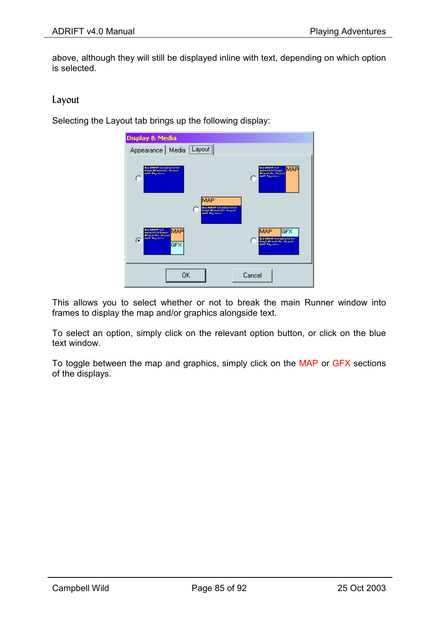above, although they will still be displayed inline with text, depending on which option is selected.

## Layout

Selecting the Layout tab brings up the following display:

| <b>Display &amp; Media</b>                                                                             |                                                                                                  |
|--------------------------------------------------------------------------------------------------------|--------------------------------------------------------------------------------------------------|
| Appearance   Media   Layout                                                                            |                                                                                                  |
| Mrs 2001ff Intentio Id Id.<br><b>Could Minute the thepart</b><br>and Square.<br>O                      | <b>Max BREAT Tail</b><br>MAP<br>anten tel tel Ernyte<br>Misulelle, Hepat<br>and Supraine         |
| IMAP<br>Max 2001ff following billid<br><b>Controllente the third of</b><br>aal2 Aq. mm.                |                                                                                                  |
| Max 111117 Int<br>MAP<br>andra fill fill Englis<br><b>MI and the thinni</b><br>and Sq. and<br>c<br>GFX | MAP<br><b>GFX</b><br>Mix 8881ff Intentio til til<br>Corpo Milandello, Heprid.<br>and 2 Aggregate |
| <b>OK</b>                                                                                              | Cancel                                                                                           |

This allows you to select whether or not to break the main Runner window into frames to display the map and/or graphics alongside text.

To select an option, simply click on the relevant option button, or click on the blue text window.

To toggle between the map and graphics, simply click on the MAP or GFX sections of the displays.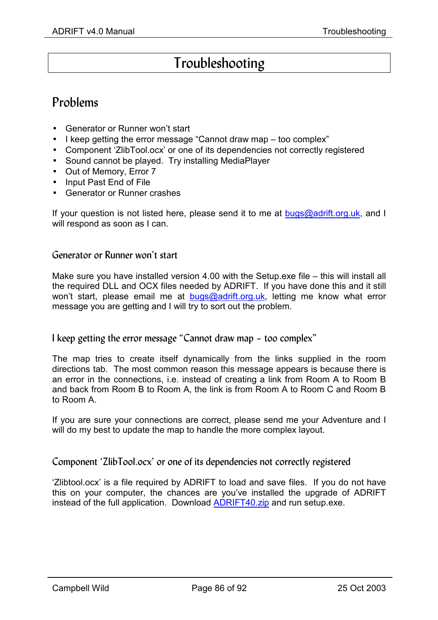# Troubleshooting

## Problems

- Generator or Runner won't start
- I keep getting the error message "Cannot draw map too complex"
- Component 'ZlibTool.ocx' or one of its dependencies not correctly registered
- [Sound cannot be played. Try installing MediaPlayer](#page-87-0)
- [Out of Memory, Error 7](#page-87-0)
- [Input Past End of File](#page-87-0)
- [Generator or Runner crashes](#page-87-0)

If your question is not listed here, please send it to me at  $b\mu qs\omega$  adrift.org.uk, and I will respond as soon as I can.

## Generator or Runner won't start

Make sure you have installed version 4.00 with the Setup.exe file – this will install all the required DLL and OCX files needed by ADRIFT. If you have done this and it still won't start, please email me at [bugs@adrift.org.uk,](mailto:bugs@adrift.org.uk) letting me know what error message you are getting and I will try to sort out the problem.

I keep getting the error message "Cannot draw map – too complex"

The map tries to create itself dynamically from the links supplied in the room directions tab. The most common reason this message appears is because there is an error in the connections, i.e. instead of creating a link from Room A to Room B and back from Room B to Room A, the link is from Room A to Room C and Room B to Room A.

If you are sure your connections are correct, please send me your Adventure and I will do my best to update the map to handle the more complex layout.

Component 'ZlibTool.ocx' or one of its dependencies not correctly registered

'Zlibtool.ocx' is a file required by ADRIFT to load and save files. If you do not have this on your computer, the chances are you've installed the upgrade of ADRIFT instead of the full application. Download [ADRIFT40.zip](http://www.jcwild.pwp.blueyonder.co.uk/ADRIFT40.zip) and run setup.exe.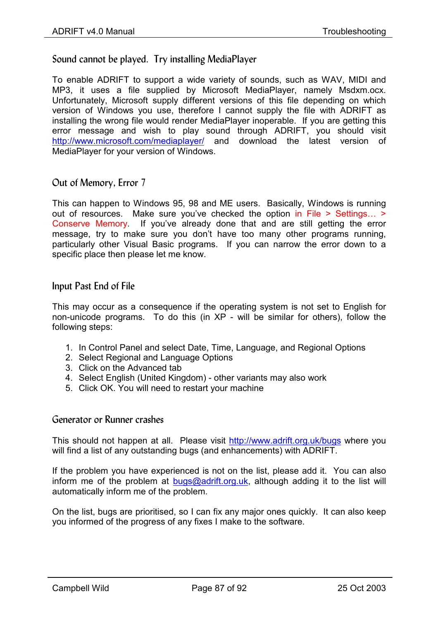## <span id="page-87-0"></span>Sound cannot be played. Try installing MediaPlayer

To enable ADRIFT to support a wide variety of sounds, such as WAV, MIDI and MP3, it uses a file supplied by Microsoft MediaPlayer, namely Msdxm.ocx. Unfortunately, Microsoft supply different versions of this file depending on which version of Windows you use, therefore I cannot supply the file with ADRIFT as installing the wrong file would render MediaPlayer inoperable. If you are getting this error message and wish to play sound through ADRIFT, you should visit <http://www.microsoft.com/mediaplayer/>and download the latest version of MediaPlayer for your version of Windows.

## Out of Memory, Error 7

This can happen to Windows 95, 98 and ME users. Basically, Windows is running out of resources. Make sure you've checked the option in File > Settings… > Conserve Memory. If you've already done that and are still getting the error message, try to make sure you don't have too many other programs running, particularly other Visual Basic programs. If you can narrow the error down to a specific place then please let me know.

## Input Past End of File

This may occur as a consequence if the operating system is not set to English for non-unicode programs. To do this (in XP - will be similar for others), follow the following steps:

- 1. In Control Panel and select Date, Time, Language, and Regional Options
- 2. Select Regional and Language Options
- 3. Click on the Advanced tab
- 4. Select English (United Kingdom) other variants may also work
- 5. Click OK. You will need to restart your machine

## Generator or Runner crashes

This should not happen at all. Please visit <http://www.adrift.org.uk/bugs>where you will find a list of any outstanding bugs (and enhancements) with ADRIFT.

If the problem you have experienced is not on the list, please add it. You can also inform me of the problem at [bugs@adrift.org.uk,](mailto:bugs@adrift.org.uk) although adding it to the list will automatically inform me of the problem.

On the list, bugs are prioritised, so I can fix any major ones quickly. It can also keep you informed of the progress of any fixes I make to the software.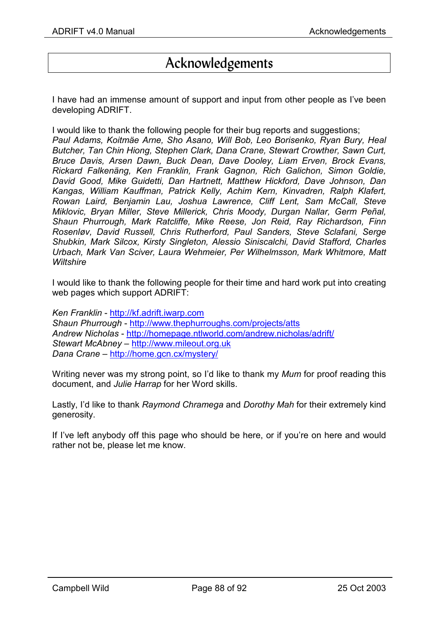# Acknowledgements

I have had an immense amount of support and input from other people as I've been developing ADRIFT.

I would like to thank the following people for their bug reports and suggestions; *Paul Adams, Koitmäe Arne, Sho Asano, Will Bob, Leo Borisenko, Ryan Bury, Heal Butcher, Tan Chin Hiong, Stephen Clark, Dana Crane, Stewart Crowther, Sawn Curt, Bruce Davis, Arsen Dawn, Buck Dean, Dave Dooley, Liam Erven, Brock Evans, Rickard Falkenäng, Ken Franklin, Frank Gagnon, Rich Galichon, Simon Goldie, David Good, Mike Guidetti, Dan Hartnett, Matthew Hickford, Dave Johnson, Dan Kangas, William Kauffman, Patrick Kelly, Achim Kern, Kinvadren, Ralph Klafert, Rowan Laird, Benjamin Lau, Joshua Lawrence, Cliff Lent, Sam McCall, Steve Miklovic, Bryan Miller, Steve Millerick, Chris Moody, Durgan Nallar, Germ Peñal, Shaun Phurrough, Mark Ratcliffe, Mike Reese, Jon Reid, Ray Richardson, Finn Rosenløv, David Russell, Chris Rutherford, Paul Sanders, Steve Sclafani, Serge Shubkin, Mark Silcox, Kirsty Singleton, Alessio Siniscalchi, David Stafford, Charles Urbach, Mark Van Sciver, Laura Wehmeier, Per Wilhelmsson, Mark Whitmore, Matt Wiltshire* 

I would like to thank the following people for their time and hard work put into creating web pages which support ADRIFT:

*Ken Franklin* - [http://kf.adrift.iwarp.com](http://kf.adrift.iwarp.com/)  *Shaun Phurrough* -<http://www.thephurroughs.com/projects/atts> *Andrew Nicholas* - <http://homepage.ntlworld.com/andrew.nicholas/adrift/> *Stewart McAbney* – [http://www.mileout.org.uk](http://www.mileout.org.uk/)  *Dana Crane* –<http://home.gcn.cx/mystery/>

Writing never was my strong point, so I'd like to thank my *Mum* for proof reading this document, and *Julie Harrap* for her Word skills.

Lastly, I'd like to thank *Raymond Chramega* and *Dorothy Mah* for their extremely kind generosity.

If I've left anybody off this page who should be here, or if you're on here and would rather not be, please let me know.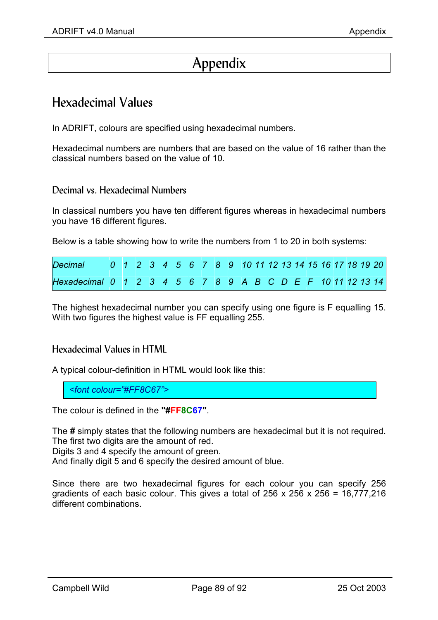# Appendix

## Hexadecimal Values

In ADRIFT, colours are specified using hexadecimal numbers.

Hexadecimal numbers are numbers that are based on the value of 16 rather than the classical numbers based on the value of 10.

## Decimal vs. Hexadecimal Numbers

In classical numbers you have ten different figures whereas in hexadecimal numbers you have 16 different figures.

Below is a table showing how to write the numbers from 1 to 20 in both systems:

| Decimal 0 1 2 3 4 5 6 7 8 9 10 11 12 13 14 15 16 17 18 19 20 |  |  |  |  |  |  |  |  |  |  |  |
|--------------------------------------------------------------|--|--|--|--|--|--|--|--|--|--|--|
| Hexadecimal 0 1 2 3 4 5 6 7 8 9 A B C D E F 10 11 12 13 14   |  |  |  |  |  |  |  |  |  |  |  |

The highest hexadecimal number you can specify using one figure is F equalling 15. With two figures the highest value is FF equalling 255.

## Hexadecimal Values in HTML

A typical colour-definition in HTML would look like this:

*<font colour="#FF8C67">* 

The colour is defined in the **"#FF8C67"**.

The **#** simply states that the following numbers are hexadecimal but it is not required. The first two digits are the amount of red.

Digits 3 and 4 specify the amount of green.

And finally digit 5 and 6 specify the desired amount of blue.

Since there are two hexadecimal figures for each colour you can specify 256 gradients of each basic colour. This gives a total of 256 x 256 x 256 = 16,777,216 different combinations.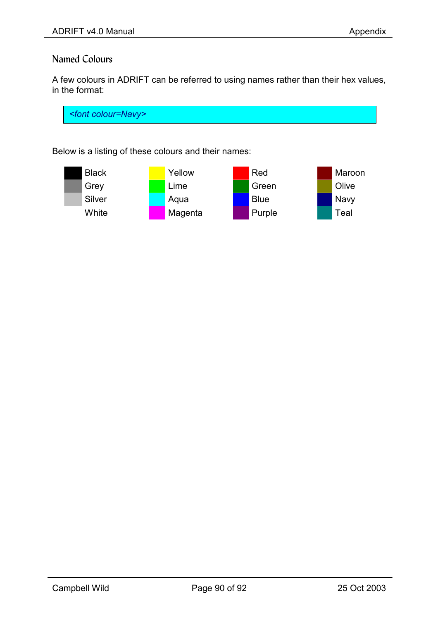## Named Colours

A few colours in ADRIFT can be referred to using names rather than their hex values, in the format:



Below is a listing of these colours and their names:

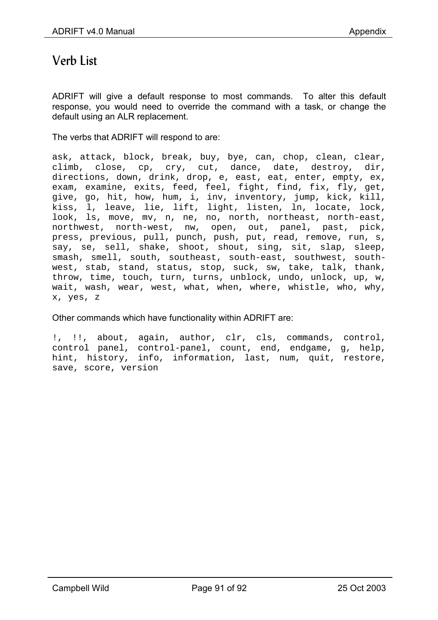## Verb List

ADRIFT will give a default response to most commands. To alter this default response, you would need to override the command with a task, or change the default using an ALR replacement.

The verbs that ADRIFT will respond to are:

ask, attack, block, break, buy, bye, can, chop, clean, clear, climb, close, cp, cry, cut, dance, date, destroy, dir, directions, down, drink, drop, e, east, eat, enter, empty, ex, exam, examine, exits, feed, feel, fight, find, fix, fly, get, give, go, hit, how, hum, i, inv, inventory, jump, kick, kill, kiss, l, leave, lie, lift, light, listen, ln, locate, lock, look, ls, move, mv, n, ne, no, north, northeast, north-east, northwest, north-west, nw, open, out, panel, past, pick, press, previous, pull, punch, push, put, read, remove, run, s, say, se, sell, shake, shoot, shout, sing, sit, slap, sleep, smash, smell, south, southeast, south-east, southwest, southwest, stab, stand, status, stop, suck, sw, take, talk, thank, throw, time, touch, turn, turns, unblock, undo, unlock, up, w, wait, wash, wear, west, what, when, where, whistle, who, why, x, yes, z

#### Other commands which have functionality within ADRIFT are:

!, !!, about, again, author, clr, cls, commands, control, control panel, control-panel, count, end, endgame, g, help, hint, history, info, information, last, num, quit, restore, save, score, version